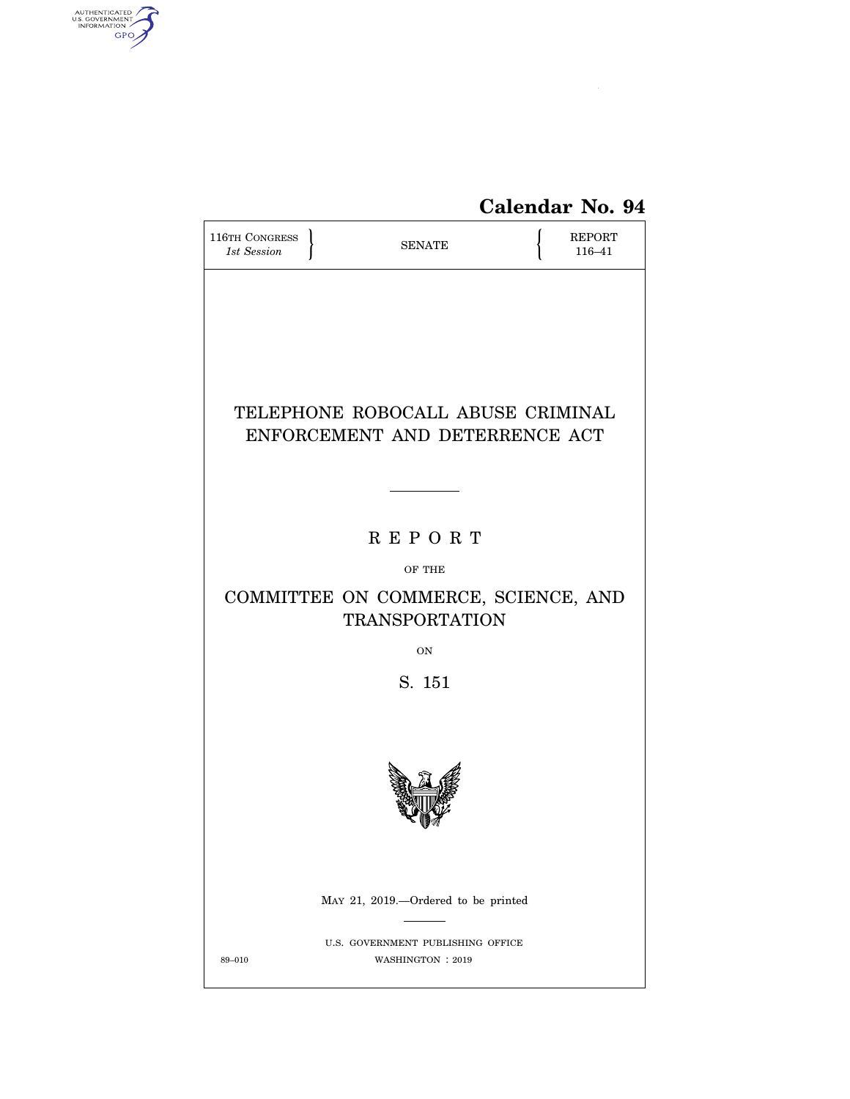

| <b>116TH CONGRESS</b><br>1st Session                         | <b>SENATE</b>                                         |  | REPORT<br>116-41 |  |  |
|--------------------------------------------------------------|-------------------------------------------------------|--|------------------|--|--|
|                                                              |                                                       |  |                  |  |  |
|                                                              |                                                       |  |                  |  |  |
|                                                              | TELEPHONE ROBOCALL ABUSE CRIMINAL                     |  |                  |  |  |
| ENFORCEMENT AND DETERRENCE ACT                               |                                                       |  |                  |  |  |
|                                                              |                                                       |  |                  |  |  |
| <b>REPORT</b>                                                |                                                       |  |                  |  |  |
| OF THE                                                       |                                                       |  |                  |  |  |
| COMMITTEE ON COMMERCE, SCIENCE, AND<br><b>TRANSPORTATION</b> |                                                       |  |                  |  |  |
|                                                              | ON                                                    |  |                  |  |  |
| S. 151                                                       |                                                       |  |                  |  |  |
|                                                              |                                                       |  |                  |  |  |
|                                                              |                                                       |  |                  |  |  |
|                                                              |                                                       |  |                  |  |  |
|                                                              |                                                       |  |                  |  |  |
|                                                              | MAY 21, 2019.—Ordered to be printed                   |  |                  |  |  |
| 89-010                                                       | U.S. GOVERNMENT PUBLISHING OFFICE<br>WASHINGTON: 2019 |  |                  |  |  |

AUTHENTICATED

 $\widehat{\mathbf{f}}$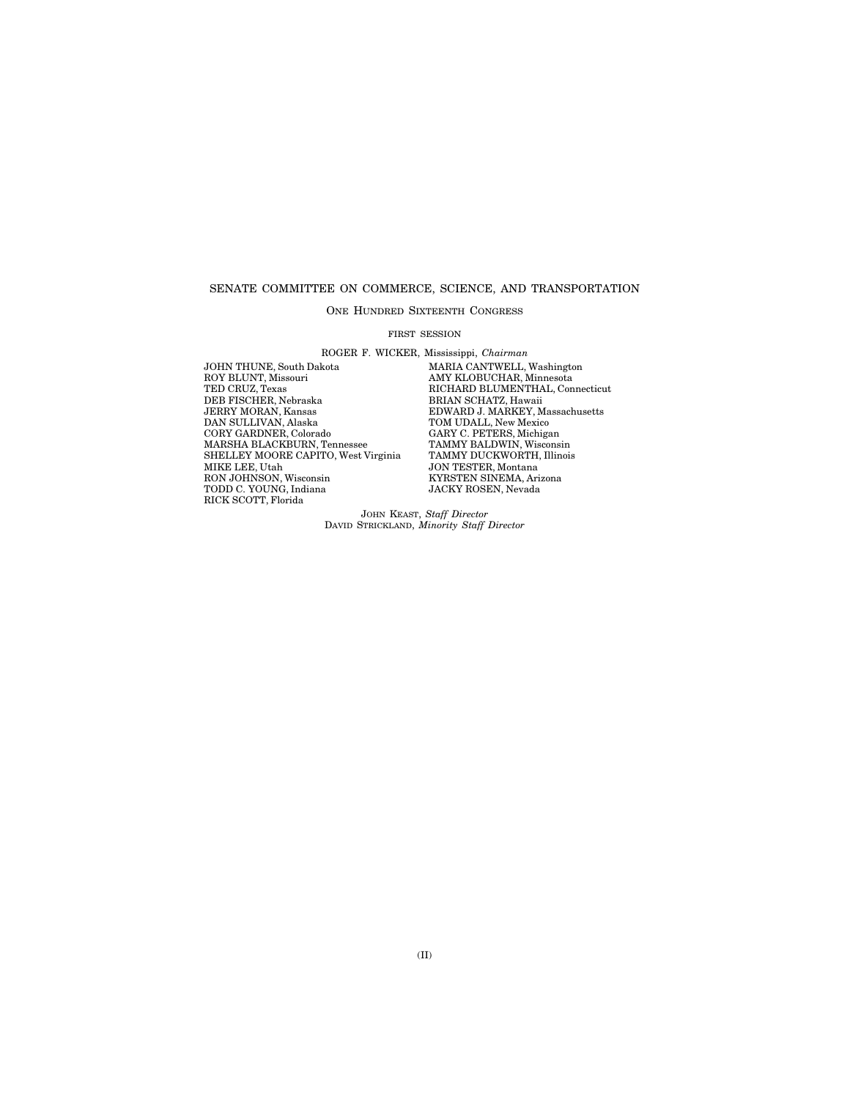## SENATE COMMITTEE ON COMMERCE, SCIENCE, AND TRANSPORTATION

### ONE HUNDRED SIXTEENTH CONGRESS

#### FIRST SESSION

ROGER F. WICKER, Mississippi, *Chairman* 

JOHN THUNE, South Dakota MARIA CANTWELL, Washington<br>ROY BLUNT, Missouri MARIA MAY KLOBUCHAR, Minnesota ROY BLUNT, Missouri AMY KLOBUCHAR, Minnesota TED CRUZ, Texas RICHARD BLUMENTHAL, Connecticut THE CIRCLIFER, Nebraska BRIAN SCHATZ, Hawaii JERRY MORAN, Kansas<br>JERRY MORAN, Kansas<br>DNARD J. MARKEY, M<br>DAN SULLIVAN, Alaska TOM UDALL, New Mexic JERRY MORAN, Kansas EDWARD J. MARKEY, Massachusetts DAN SULLIVAN, Alaska TOM UDALL, New Mexico CORY GARDNER, Colorado CARY C. PETERS, Michigan<br>MARSHA BLACKBURN, Tennessee TAMMY BALDWIN, Wisconsin<br>SHELLEY MOORE CAPITO, West Virginia TAMMY DUCKWORTH, Illinois MARSHA BLACKBURN, Tennessee TAMMY BALDWIN, Wisconsin SHELLEY MOORE CAPITO, West Virginia TAMMY DUCKWORTH, Illinois MIKE LEE, Utah JON TESTER, Montana TODD C. YOUNG, Indiana JACKY ROSEN, Nevada RICK SCOTT, Florida

**SON TESTEN, MONTAIR<br>KYRSTEN SINEMA, Arizona**<br>JACKY ROSEN, Nevada

JOHN KEAST, *Staff Director*  DAVID STRICKLAND, *Minority Staff Director*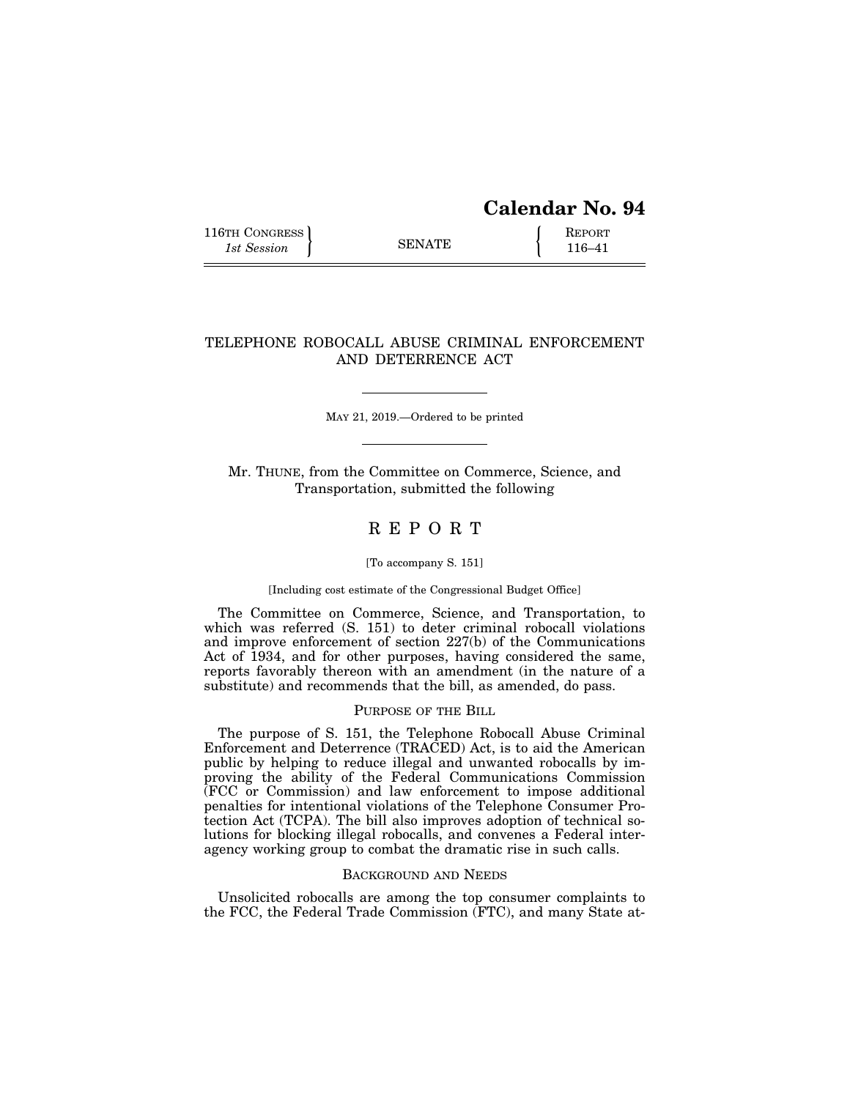# **Calendar No. 94**

116TH CONGRESS **REPORT** 116-41

## TELEPHONE ROBOCALL ABUSE CRIMINAL ENFORCEMENT AND DETERRENCE ACT

MAY 21, 2019.—Ordered to be printed

Mr. THUNE, from the Committee on Commerce, Science, and Transportation, submitted the following

# R E P O R T

## [To accompany S. 151]

## [Including cost estimate of the Congressional Budget Office]

The Committee on Commerce, Science, and Transportation, to which was referred (S. 151) to deter criminal robocall violations and improve enforcement of section 227(b) of the Communications Act of 1934, and for other purposes, having considered the same, reports favorably thereon with an amendment (in the nature of a substitute) and recommends that the bill, as amended, do pass.

## PURPOSE OF THE BILL

The purpose of S. 151, the Telephone Robocall Abuse Criminal Enforcement and Deterrence (TRACED) Act, is to aid the American public by helping to reduce illegal and unwanted robocalls by improving the ability of the Federal Communications Commission (FCC or Commission) and law enforcement to impose additional penalties for intentional violations of the Telephone Consumer Protection Act (TCPA). The bill also improves adoption of technical solutions for blocking illegal robocalls, and convenes a Federal interagency working group to combat the dramatic rise in such calls.

## BACKGROUND AND NEEDS

Unsolicited robocalls are among the top consumer complaints to the FCC, the Federal Trade Commission (FTC), and many State at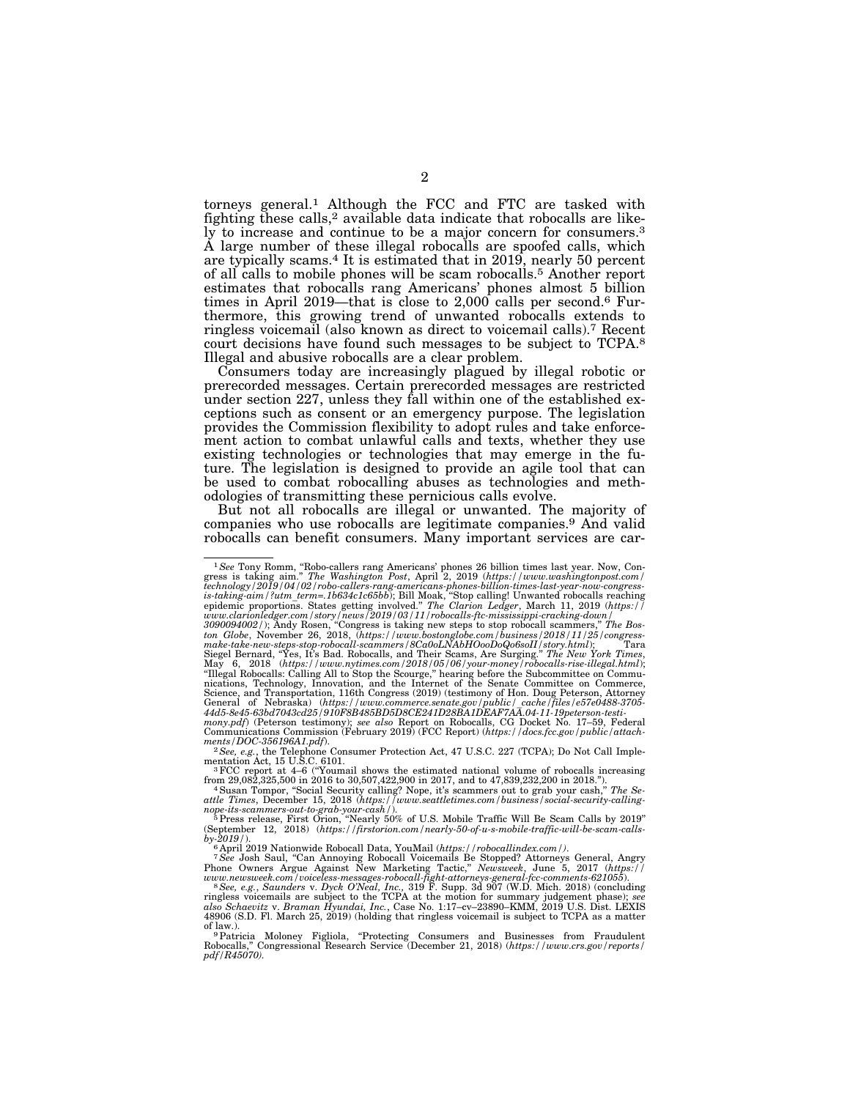torneys general.1 Although the FCC and FTC are tasked with fighting these calls,<sup>2</sup> available data indicate that robocalls are likely to increase and continue to be a major concern for consumers.3 A large number of these illegal robocalls are spoofed calls, which are typically scams.4 It is estimated that in 2019, nearly 50 percent of all calls to mobile phones will be scam robocalls.5 Another report estimates that robocalls rang Americans' phones almost 5 billion times in April 2019—that is close to 2,000 calls per second.6 Furthermore, this growing trend of unwanted robocalls extends to ringless voicemail (also known as direct to voicemail calls).7 Recent court decisions have found such messages to be subject to TCPA.8 Illegal and abusive robocalls are a clear problem.

Consumers today are increasingly plagued by illegal robotic or prerecorded messages. Certain prerecorded messages are restricted under section 227, unless they fall within one of the established exceptions such as consent or an emergency purpose. The legislation provides the Commission flexibility to adopt rules and take enforcement action to combat unlawful calls and texts, whether they use existing technologies or technologies that may emerge in the future. The legislation is designed to provide an agile tool that can be used to combat robocalling abuses as technologies and methodologies of transmitting these pernicious calls evolve.

But not all robocalls are illegal or unwanted. The majority of companies who use robocalls are legitimate companies.9 And valid robocalls can benefit consumers. Many important services are car-

<sup>&</sup>lt;sup>1</sup>See Tony Romm, "Robo-callers rang Americans' phones 26 billion times last year. Now, Congress is taking aim." The Washington Post, April 2, 2019 (https://www.washingtonpost.com/<br>technology/2019/04/02/robo-callers-rang-

<sup>&</sup>quot;Illegal Robocalls: Calling All to Stop the Scourge," hearing before the Subcommittee on Commu-<br>nications, Technology, Innovation, and the Internet of the Senate Committee on Commerce,<br>Science, and Transportation, 116th Co General of Nebraska) (https://www.commerce.senate.gov/public/ cache/files/e57e0488-3705-<br>44d5-8e45-63bd7043cd25/910F8B485BD5D8CE241D28BA1DEAF7AA.04-11-19peterson-testi-<br>mony.pdf) (Peterson testimony); see also Report on Ro

Communications Commission (February 2019) (FCC Report) (*https://docs.fcc.gov/public/attach-*

*ments/DOC-356196A1.pdf*). 2*See, e.g.*, the Telephone Consumer Protection Act, 47 U.S.C. 227 (TCPA); Do Not Call Implementation Act, 15 U.S.C. 6101.<br><sup>3</sup>FCC report at 4–6 ("Youmail shows the estimated national volume of robocalls increasing

from 29,082,325,500 in 2016 to 30,507,422,900 in 2017, and to 47,839,232,200 in 2018.''). 4Susan Tompor, ''Social Security calling? Nope, it's scammers out to grab your cash,'' *The Se-*

attle Times, December 15, 2018 (https://www.seattletimes.com/business/social-security-calling-<br>nope-its-scammers-out-to-grab-your-cash/).<br><sup>5</sup> Press release, First Orion, "Nearly 50% of U.S. Mobile Traffic Will Be Scam Call

by-2019/).<br><sup>6</sup> April 2019 Nationwide Robocall Data, YouMail (https://robocallindex.com/).<br><sup>7 See</sup> Josh Saul, "Can Annoying Robocall Voicemails Be Stopped? Attorneys General, Angry<br>Phone Owners Argue Against New Marketing T

*www.newsweek.com/voiceless-messages-robocall-fight-attorneys-general-fcc-comments-621055*). 8*See, e.g.*, *Saunders* v. *Dyck O'Neal, Inc.,* 319 F. Supp. 3d 907 (W.D. Mich. 2018) (concluding ringless voicemails are subject to the TCPA at the motion for summary judgement phase); *see*<br>also Schaevitz v. Braman Hyundai, Inc., Case No. 1:17–cv–23890–KMM, 2019 U.S. Dist. LEXIS<br>48906 (S.D. Fl. March 25, 2019) (holdi

of law.).<br><sup>9</sup> Patricia Moloney Figliola, "Protecting Consumers and Businesses from Fraudulent<br>Robocalls," Congressional Research Service (December 21, 2018) (*https://www.crs.gov/reports/ pdf/R45070).*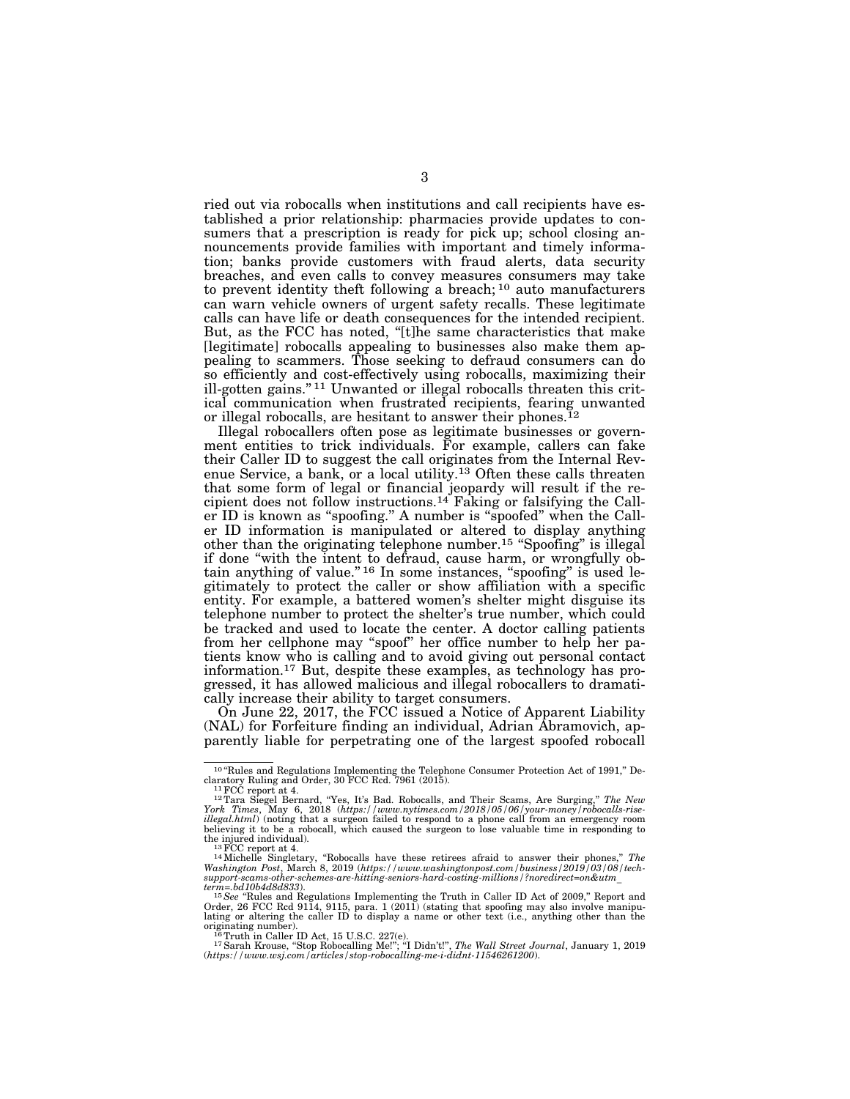ried out via robocalls when institutions and call recipients have established a prior relationship: pharmacies provide updates to consumers that a prescription is ready for pick up; school closing announcements provide families with important and timely information; banks provide customers with fraud alerts, data security breaches, and even calls to convey measures consumers may take to prevent identity theft following a breach; 10 auto manufacturers can warn vehicle owners of urgent safety recalls. These legitimate calls can have life or death consequences for the intended recipient. But, as the FCC has noted, "[t]he same characteristics that make [legitimate] robocalls appealing to businesses also make them appealing to scammers. Those seeking to defraud consumers can do so efficiently and cost-effectively using robocalls, maximizing their ill-gotten gains.'' 11 Unwanted or illegal robocalls threaten this critical communication when frustrated recipients, fearing unwanted or illegal robocalls, are hesitant to answer their phones.12

Illegal robocallers often pose as legitimate businesses or government entities to trick individuals. For example, callers can fake their Caller ID to suggest the call originates from the Internal Revenue Service, a bank, or a local utility.<sup>13</sup> Often these calls threaten that some form of legal or financial jeopardy will result if the recipient does not follow instructions.<sup>14</sup> Faking or falsifying the Caller ID is known as "spoofing." A number is "spoofed" when the Caller ID information is manipulated or altered to display anything other than the originating telephone number.<sup>15</sup> "Spoofing" is illegal if done ''with the intent to defraud, cause harm, or wrongfully obtain anything of value."<sup>16</sup> In some instances, "spoofing" is used legitimately to protect the caller or show affiliation with a specific entity. For example, a battered women's shelter might disguise its telephone number to protect the shelter's true number, which could be tracked and used to locate the center. A doctor calling patients from her cellphone may ''spoof'' her office number to help her patients know who is calling and to avoid giving out personal contact information.17 But, despite these examples, as technology has progressed, it has allowed malicious and illegal robocallers to dramatically increase their ability to target consumers.

On June 22, 2017, the FCC issued a Notice of Apparent Liability (NAL) for Forfeiture finding an individual, Adrian Abramovich, apparently liable for perpetrating one of the largest spoofed robocall

<sup>&</sup>lt;sup>10</sup>"Rules and Regulations Implementing the Telephone Consumer Protection Act of 1991," Declaratory Ruling and Order, 30 FCC Rcd. 7961 (2015).

claratory Ruling and Order, 30 FCC Rcd. 7961 (2015).<br><sup>11</sup> FCC report at 4.<br><sup>12</sup> Tara Siegel Bernard, "Yes, It's Bad. Robocalls, and Their Scams, Are Surging," *The New*<br>*York Times*, May 6, 2018 (*https://www.nytimes.com/2 illegal.html*) (noting that a surgeon failed to respond to a phone call from an emergency room believing it to be a robocall, which caused the surgeon to lose valuable time in responding to

the injured individual).<br><sup>13</sup> FCC report at 4.<br><sup>14</sup> Michelle Singletary, "Robocalls have these retirees afraid to answer their phones," *The*<br>Washington Post, March 8, 2019 (https://www.washingtonpost.com/business/2019/03 *support-scams-other-schemes-are-hitting-seniors-hard-costing-millions/?noredirect=on&utm*\_ *term=.bd10b4d8d833*). 15*See* ''Rules and Regulations Implementing the Truth in Caller ID Act of 2009,'' Report and

Order, 26 FCC Rcd 9114, 9115, para. 1 (2011) (stating that spoofing may also involve manipu-lating or altering the caller ID to display a name or other text (i.e., anything other than the

originating number).<br><sup>16</sup> Truth in Caller ID Act, 15 U.S.C. 227(e).<br>(17 Sarah Krouse, "Stop Robocalling Me!"; "I Didn't!", *The Wall Street Journal*, January 1, 2019<br>(https://www.wsj.com/articles/stop-robocalling-me-i-didn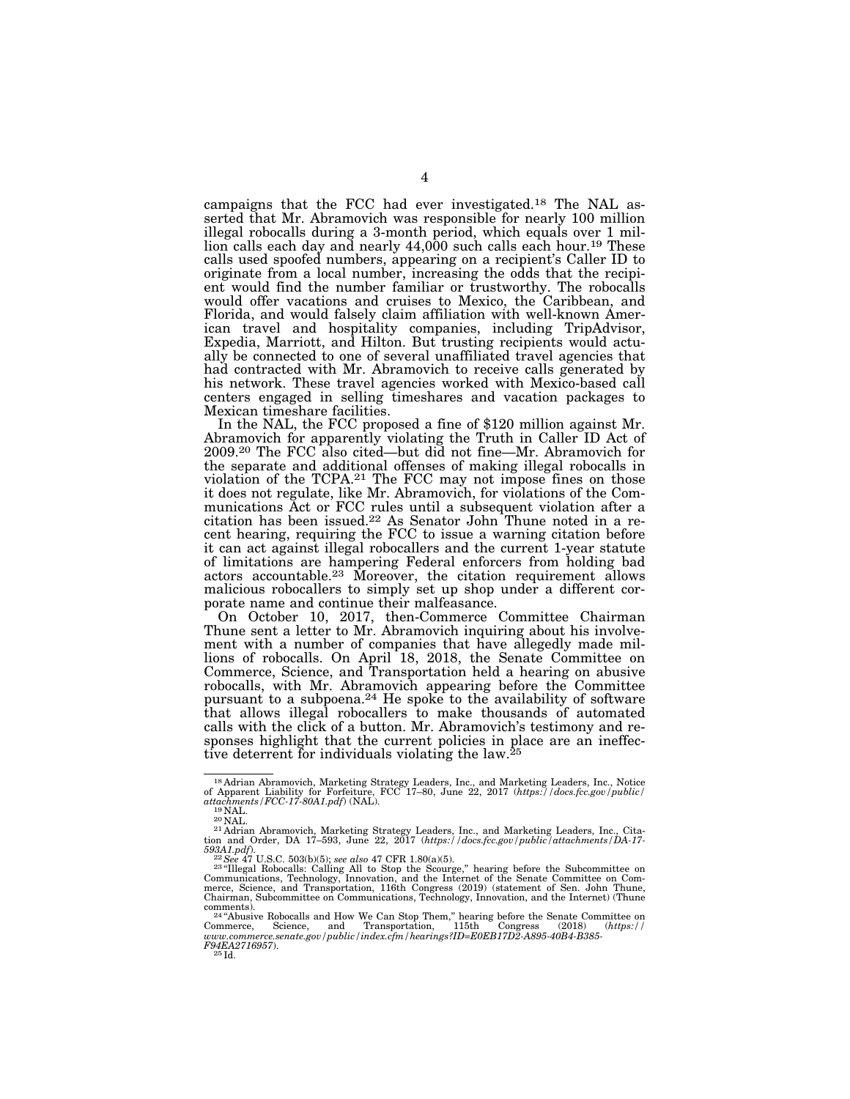campaigns that the FCC had ever investigated.18 The NAL asserted that Mr. Abramovich was responsible for nearly 100 million illegal robocalls during a 3-month period, which equals over 1 million calls each day and nearly 44,000 such calls each hour.<sup>19</sup> These calls used spoofed numbers, appearing on a recipient's Caller ID to originate from a local number, increasing the odds that the recipient would find the number familiar or trustworthy. The robocalls would offer vacations and cruises to Mexico, the Caribbean, and Florida, and would falsely claim affiliation with well-known American travel and hospitality companies, including TripAdvisor, Expedia, Marriott, and Hilton. But trusting recipients would actually be connected to one of several unaffiliated travel agencies that had contracted with Mr. Abramovich to receive calls generated by his network. These travel agencies worked with Mexico-based call centers engaged in selling timeshares and vacation packages to Mexican timeshare facilities.

In the NAL, the FCC proposed a fine of \$120 million against Mr. Abramovich for apparently violating the Truth in Caller ID Act of 2009.20 The FCC also cited—but did not fine—Mr. Abramovich for the separate and additional offenses of making illegal robocalls in violation of the TCPA.21 The FCC may not impose fines on those it does not regulate, like Mr. Abramovich, for violations of the Communications Act or FCC rules until a subsequent violation after a citation has been issued.22 As Senator John Thune noted in a recent hearing, requiring the FCC to issue a warning citation before it can act against illegal robocallers and the current 1-year statute of limitations are hampering Federal enforcers from holding bad actors accountable.23 Moreover, the citation requirement allows malicious robocallers to simply set up shop under a different corporate name and continue their malfeasance.

On October 10, 2017, then-Commerce Committee Chairman Thune sent a letter to Mr. Abramovich inquiring about his involvement with a number of companies that have allegedly made millions of robocalls. On April 18, 2018, the Senate Committee on Commerce, Science, and Transportation held a hearing on abusive robocalls, with Mr. Abramovich appearing before the Committee pursuant to a subpoena.24 He spoke to the availability of software that allows illegal robocallers to make thousands of automated calls with the click of a button. Mr. Abramovich's testimony and responses highlight that the current policies in place are an ineffective deterrent for individuals violating the law.<sup>25</sup>

<sup>&</sup>lt;sup>18</sup> Adrian Abramovich, Marketing Strategy Leaders, Inc., and Marketing Leaders, Inc., Notice of Apparent Liability for Forfeiture, FCC 17-80, June 22, 2017 (https://docs.fcc.gov/public/<br>  $19$ NAL.<br>
<sup>19</sup>NAL.<br>
<sup>20</sup>NAL.<br>
<sup>21</sup>

<sup>&</sup>lt;sup>21</sup> Adrian Abramovich, Marketing Strategy Leaders, Inc., and Marketing Leaders, Inc., Citation and Order, DA 17–593, June 22, 2017 (*https://docs.fcc.gov/public/attachments/DA-17-*

 $593A1.pdf$ .<br><sup>22</sup>See 47 U.S.C. 503(b)(5); *see also* 47 CFR 1.80(a)(5).<br><sup>23</sup> "Illegal Robocalls: Calling All to Stop the Scourge," hearing before the Subcommittee on Com-<br>Communications, Technology, Innovation, and the Inter Chairman, Subcommittee on Communications, Technology, Innovation, and the Internet) (Thune<br>  $\frac{\text{commutation}}{2444 \text{ hours}}$  Pehandle and Hem We Gan Star Tham " harring hefter the Starte Committee and

comments).<br><sup>244</sup>Abusive Robocalls and How We Can Stop Them," hearing before the Senate Committee on<br>Commerce, Science, and Transportation, 115th Congress (2018) (https://<br>www.commerce.senate.gov/public/index.cfm/hearings?I *F94EA2716957*). 25 Id.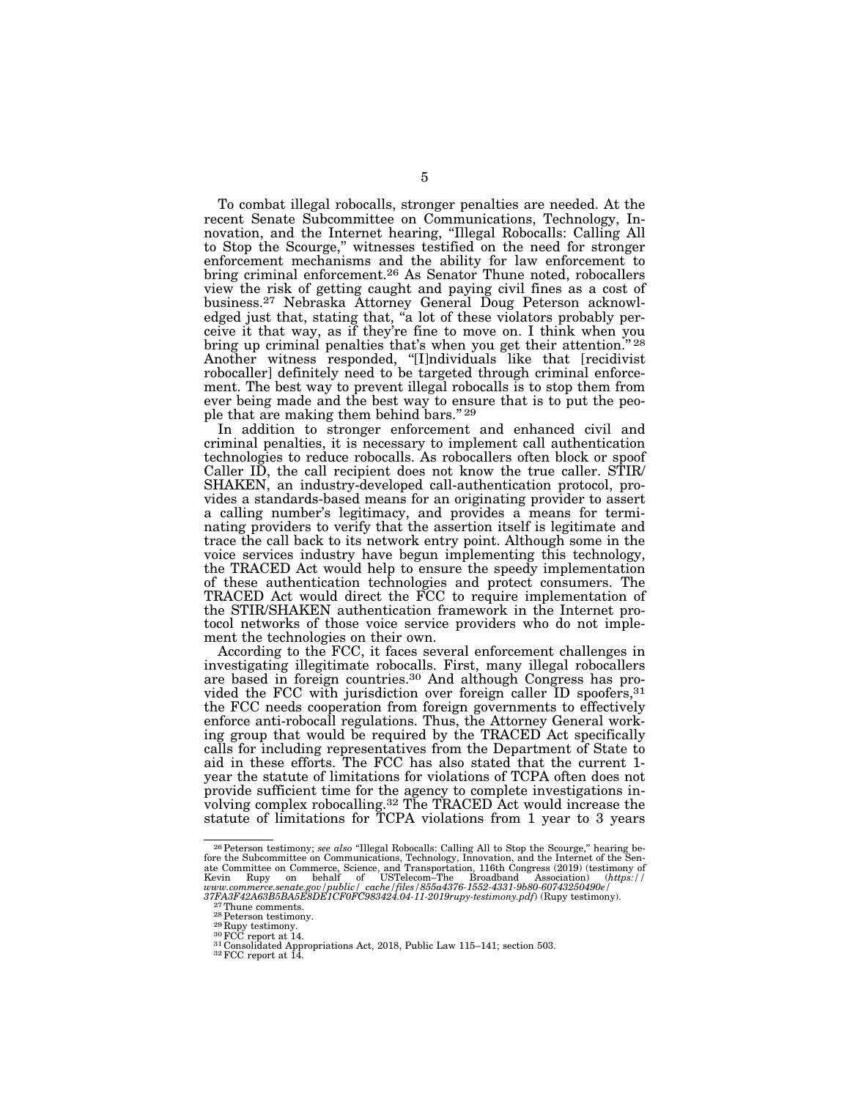To combat illegal robocalls, stronger penalties are needed. At the recent Senate Subcommittee on Communications, Technology, Innovation, and the Internet hearing, ''Illegal Robocalls: Calling All to Stop the Scourge,'' witnesses testified on the need for stronger enforcement mechanisms and the ability for law enforcement to bring criminal enforcement.<sup>26</sup> As Senator Thune noted, robocallers view the risk of getting caught and paying civil fines as a cost of business.27 Nebraska Attorney General Doug Peterson acknowledged just that, stating that, "a lot of these violators probably perceive it that way, as if they're fine to move on. I think when you bring up criminal penalties that's when you get their attention."<sup>28</sup> Another witness responded, ''[I]ndividuals like that [recidivist robocaller] definitely need to be targeted through criminal enforcement. The best way to prevent illegal robocalls is to stop them from ever being made and the best way to ensure that is to put the people that are making them behind bars." 29

In addition to stronger enforcement and enhanced civil and criminal penalties, it is necessary to implement call authentication technologies to reduce robocalls. As robocallers often block or spoof Caller ID, the call recipient does not know the true caller. STIR/ SHAKEN, an industry-developed call-authentication protocol, provides a standards-based means for an originating provider to assert a calling number's legitimacy, and provides a means for terminating providers to verify that the assertion itself is legitimate and trace the call back to its network entry point. Although some in the voice services industry have begun implementing this technology, the TRACED Act would help to ensure the speedy implementation of these authentication technologies and protect consumers. The TRACED Act would direct the FCC to require implementation of the STIR/SHAKEN authentication framework in the Internet protocol networks of those voice service providers who do not implement the technologies on their own.

According to the FCC, it faces several enforcement challenges in investigating illegitimate robocalls. First, many illegal robocallers are based in foreign countries.30 And although Congress has provided the FCC with jurisdiction over foreign caller ID spoofers, 31 the FCC needs cooperation from foreign governments to effectively enforce anti-robocall regulations. Thus, the Attorney General working group that would be required by the TRACED Act specifically calls for including representatives from the Department of State to aid in these efforts. The FCC has also stated that the current 1 year the statute of limitations for violations of TCPA often does not provide sufficient time for the agency to complete investigations involving complex robocalling.32 The TRACED Act would increase the statute of limitations for TCPA violations from 1 year to 3 years

 $^{26}$  Peterson testimony; see also "Illegal Robocalls: Calling All to Stop the Scourge," hearing before the Subcommittee on Communications, Technology, Innovation, and the Internet of the Senate Committee on Commerce, Sc Kevin Rupy on behalf of USTelecom–The Broadband Association) (https://<br>
www.commerce.sentate.gov/public/cache/files/855a4376-1552-4331-9b80-60743250490e/<br>
37FA3F42A63B5BA5E8DE1CF0FC983424.04-11-2019rupy-testimony.pdf) (Ru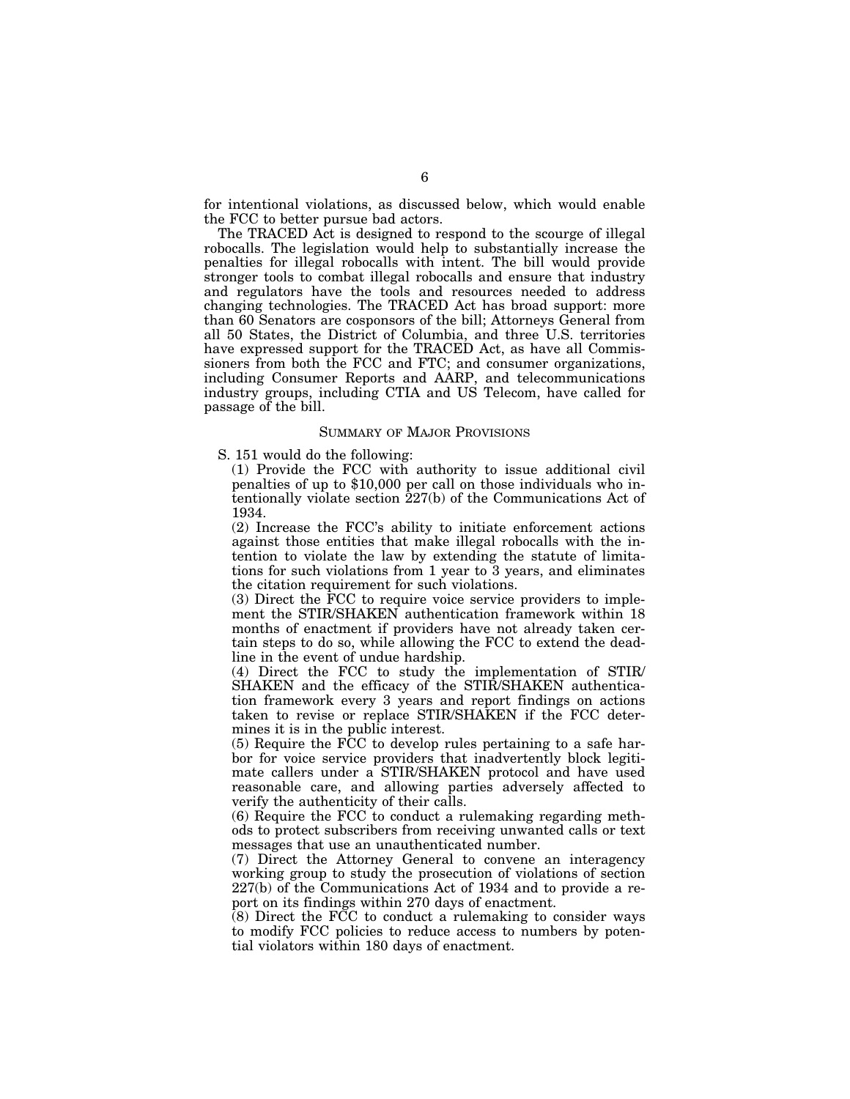for intentional violations, as discussed below, which would enable the FCC to better pursue bad actors.

The TRACED Act is designed to respond to the scourge of illegal robocalls. The legislation would help to substantially increase the penalties for illegal robocalls with intent. The bill would provide stronger tools to combat illegal robocalls and ensure that industry and regulators have the tools and resources needed to address changing technologies. The TRACED Act has broad support: more than 60 Senators are cosponsors of the bill; Attorneys General from all 50 States, the District of Columbia, and three U.S. territories have expressed support for the TRACED Act, as have all Commissioners from both the FCC and FTC; and consumer organizations, including Consumer Reports and AARP, and telecommunications industry groups, including CTIA and US Telecom, have called for passage of the bill.

## SUMMARY OF MAJOR PROVISIONS

S. 151 would do the following:

(1) Provide the FCC with authority to issue additional civil penalties of up to \$10,000 per call on those individuals who intentionally violate section 227(b) of the Communications Act of 1934.

(2) Increase the FCC's ability to initiate enforcement actions against those entities that make illegal robocalls with the intention to violate the law by extending the statute of limitations for such violations from 1 year to 3 years, and eliminates the citation requirement for such violations.

(3) Direct the FCC to require voice service providers to implement the STIR/SHAKEN authentication framework within 18 months of enactment if providers have not already taken certain steps to do so, while allowing the FCC to extend the deadline in the event of undue hardship.

(4) Direct the FCC to study the implementation of STIR/ SHAKEN and the efficacy of the STIR/SHAKEN authentication framework every 3 years and report findings on actions taken to revise or replace STIR/SHAKEN if the FCC determines it is in the public interest.

(5) Require the FCC to develop rules pertaining to a safe harbor for voice service providers that inadvertently block legitimate callers under a STIR/SHAKEN protocol and have used reasonable care, and allowing parties adversely affected to verify the authenticity of their calls.

(6) Require the FCC to conduct a rulemaking regarding methods to protect subscribers from receiving unwanted calls or text messages that use an unauthenticated number.

(7) Direct the Attorney General to convene an interagency working group to study the prosecution of violations of section 227(b) of the Communications Act of 1934 and to provide a report on its findings within 270 days of enactment.

 $(8)$  Direct the FCC to conduct a rulemaking to consider ways to modify FCC policies to reduce access to numbers by potential violators within 180 days of enactment.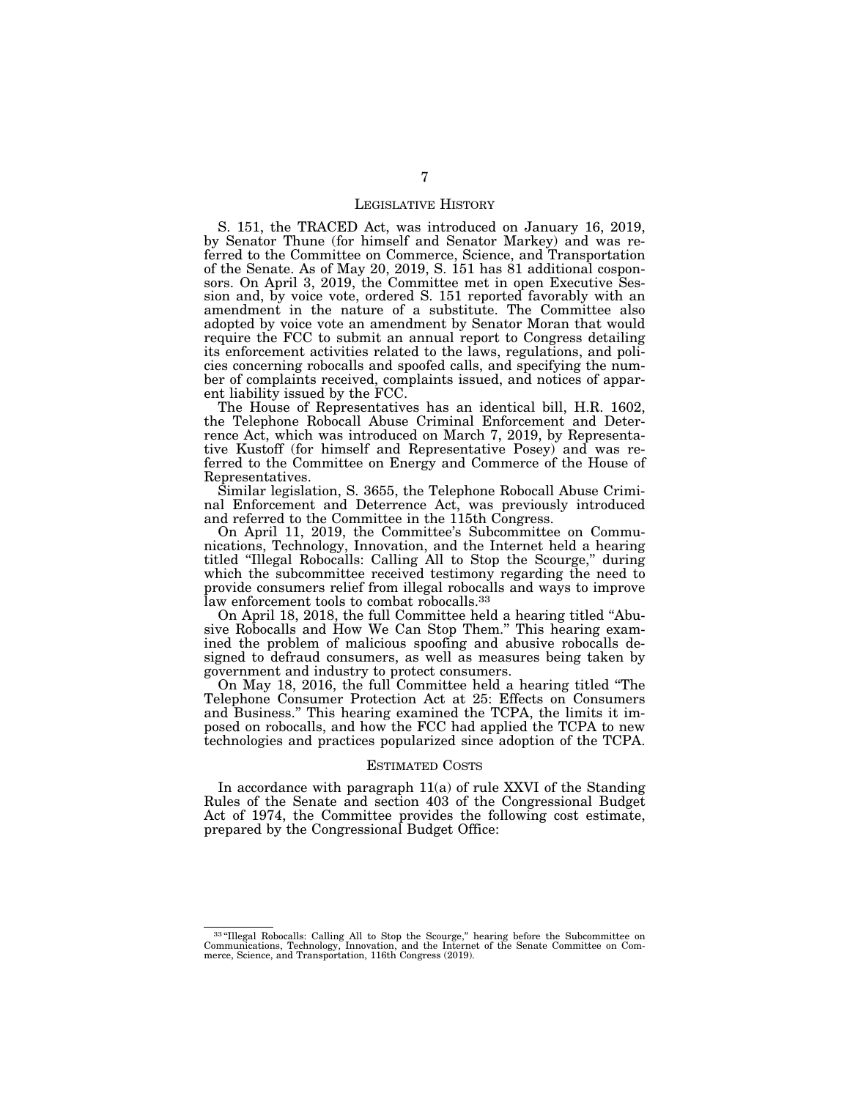## LEGISLATIVE HISTORY

S. 151, the TRACED Act, was introduced on January 16, 2019, by Senator Thune (for himself and Senator Markey) and was referred to the Committee on Commerce, Science, and Transportation of the Senate. As of May 20, 2019, S. 151 has 81 additional cosponsors. On April 3, 2019, the Committee met in open Executive Session and, by voice vote, ordered S. 151 reported favorably with an amendment in the nature of a substitute. The Committee also adopted by voice vote an amendment by Senator Moran that would require the FCC to submit an annual report to Congress detailing its enforcement activities related to the laws, regulations, and policies concerning robocalls and spoofed calls, and specifying the number of complaints received, complaints issued, and notices of apparent liability issued by the FCC.

The House of Representatives has an identical bill, H.R. 1602, the Telephone Robocall Abuse Criminal Enforcement and Deterrence Act, which was introduced on March 7, 2019, by Representative Kustoff (for himself and Representative Posey) and was referred to the Committee on Energy and Commerce of the House of Representatives.

Similar legislation, S. 3655, the Telephone Robocall Abuse Criminal Enforcement and Deterrence Act, was previously introduced and referred to the Committee in the 115th Congress.

On April 11, 2019, the Committee's Subcommittee on Communications, Technology, Innovation, and the Internet held a hearing titled ''Illegal Robocalls: Calling All to Stop the Scourge,'' during which the subcommittee received testimony regarding the need to provide consumers relief from illegal robocalls and ways to improve law enforcement tools to combat robocalls.<sup>33</sup>

On April 18, 2018, the full Committee held a hearing titled ''Abusive Robocalls and How We Can Stop Them.'' This hearing examined the problem of malicious spoofing and abusive robocalls designed to defraud consumers, as well as measures being taken by government and industry to protect consumers.

On May 18, 2016, the full Committee held a hearing titled ''The Telephone Consumer Protection Act at 25: Effects on Consumers and Business.'' This hearing examined the TCPA, the limits it imposed on robocalls, and how the FCC had applied the TCPA to new technologies and practices popularized since adoption of the TCPA.

## ESTIMATED COSTS

In accordance with paragraph 11(a) of rule XXVI of the Standing Rules of the Senate and section 403 of the Congressional Budget Act of 1974, the Committee provides the following cost estimate, prepared by the Congressional Budget Office:

 $33\text{°}$ Illegal Robocalls: Calling All to Stop the Scourge," hearing before the Subcommittee on Communications, Technology, Innovation, and the Internet of the Senate Committee on Commerce, Science, and Transportation, 1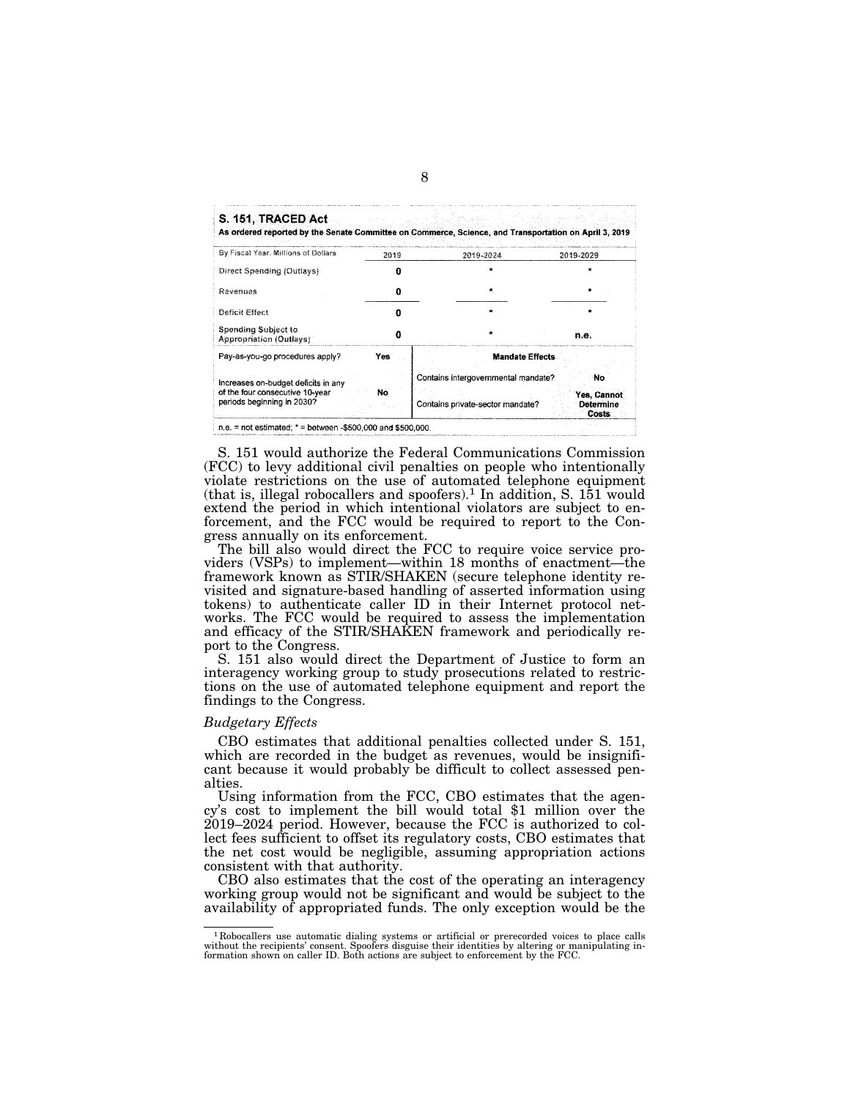S. 151, TRACED Act

As ordered reported by the Senate Committee on Commerce, Science, and Transportation on April 3, 2019

| 2019 | 2019-2024 | 2019-2029                                                                                         |
|------|-----------|---------------------------------------------------------------------------------------------------|
|      |           |                                                                                                   |
|      |           |                                                                                                   |
|      | ÷         |                                                                                                   |
|      |           |                                                                                                   |
|      |           | n.e.                                                                                              |
| Yes  |           |                                                                                                   |
| No   |           | No<br>Yes, Cannot<br>Determine<br>Costs                                                           |
|      |           | <b>Mandate Effects</b><br>Contains intergovernmental mandate?<br>Contains private-sector mandate? |

S. 151 would authorize the Federal Communications Commission (FCC) to levy additional civil penalties on people who intentionally violate restrictions on the use of automated telephone equipment (that is, illegal robocallers and spoofers).<sup>1</sup> In addition, S.  $151$  would extend the period in which intentional violators are subject to enforcement, and the FCC would be required to report to the Congress annually on its enforcement.

The bill also would direct the FCC to require voice service providers (VSPs) to implement—within 18 months of enactment—the framework known as STIR/SHAKEN (secure telephone identity revisited and signature-based handling of asserted information using tokens) to authenticate caller ID in their Internet protocol networks. The FCC would be required to assess the implementation and efficacy of the STIR/SHAKEN framework and periodically report to the Congress.

S. 151 also would direct the Department of Justice to form an interagency working group to study prosecutions related to restrictions on the use of automated telephone equipment and report the findings to the Congress.

## *Budgetary Effects*

CBO estimates that additional penalties collected under S. 151, which are recorded in the budget as revenues, would be insignificant because it would probably be difficult to collect assessed penalties.

Using information from the FCC, CBO estimates that the agency's cost to implement the bill would total \$1 million over the 2019–2024 period. However, because the FCC is authorized to collect fees sufficient to offset its regulatory costs, CBO estimates that the net cost would be negligible, assuming appropriation actions consistent with that authority.

CBO also estimates that the cost of the operating an interagency working group would not be significant and would be subject to the availability of appropriated funds. The only exception would be the

 $^1$  Robocallers use automatic dialing systems or artificial or prerecorded voices to place calls without the recipients' consent. Spoofers disguise their identities by altering or manipulating information shown on caller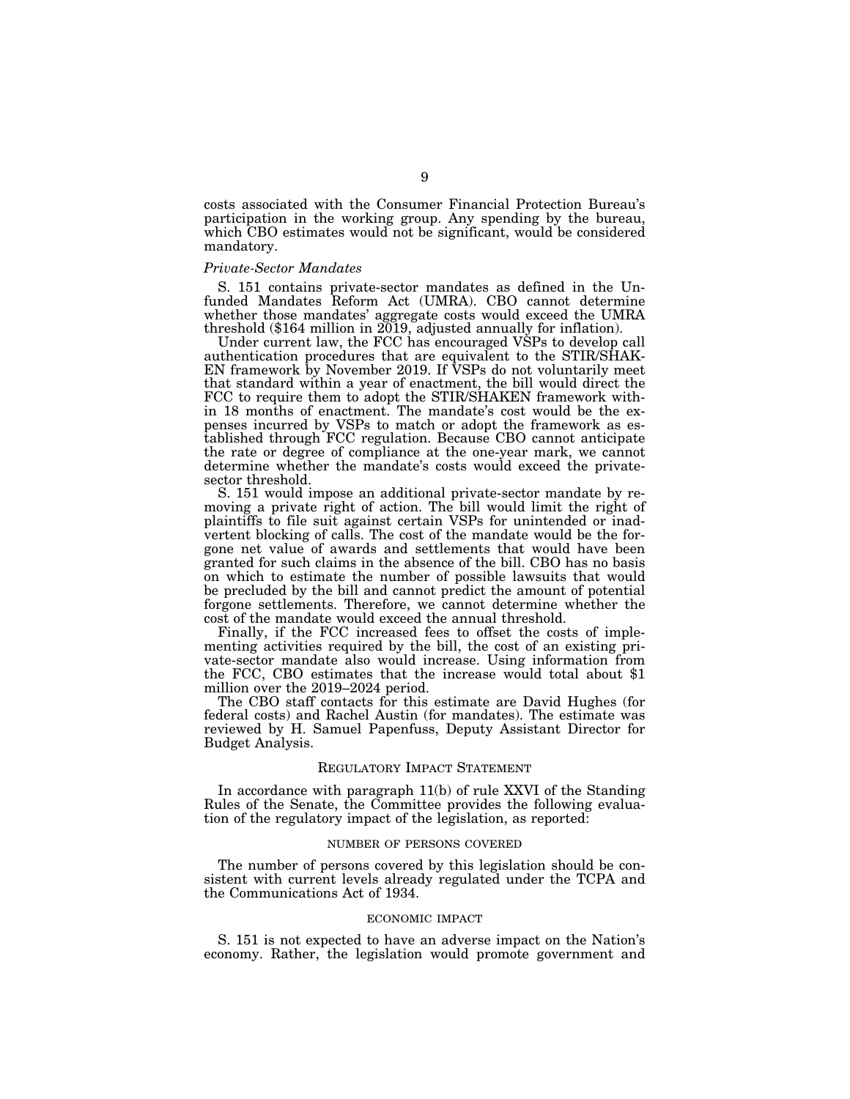costs associated with the Consumer Financial Protection Bureau's participation in the working group. Any spending by the bureau, which CBO estimates would not be significant, would be considered mandatory.

## *Private-Sector Mandates*

S. 151 contains private-sector mandates as defined in the Unfunded Mandates Reform Act (UMRA). CBO cannot determine whether those mandates' aggregate costs would exceed the UMRA threshold (\$164 million in 2019, adjusted annually for inflation).

Under current law, the FCC has encouraged VSPs to develop call authentication procedures that are equivalent to the STIR/SHAK-EN framework by November 2019. If VSPs do not voluntarily meet that standard within a year of enactment, the bill would direct the FCC to require them to adopt the STIR/SHAKEN framework within 18 months of enactment. The mandate's cost would be the expenses incurred by VSPs to match or adopt the framework as established through FCC regulation. Because CBO cannot anticipate the rate or degree of compliance at the one-year mark, we cannot determine whether the mandate's costs would exceed the privatesector threshold.

S. 151 would impose an additional private-sector mandate by removing a private right of action. The bill would limit the right of plaintiffs to file suit against certain VSPs for unintended or inadvertent blocking of calls. The cost of the mandate would be the forgone net value of awards and settlements that would have been granted for such claims in the absence of the bill. CBO has no basis on which to estimate the number of possible lawsuits that would be precluded by the bill and cannot predict the amount of potential forgone settlements. Therefore, we cannot determine whether the cost of the mandate would exceed the annual threshold.

Finally, if the FCC increased fees to offset the costs of implementing activities required by the bill, the cost of an existing private-sector mandate also would increase. Using information from the FCC, CBO estimates that the increase would total about \$1 million over the 2019–2024 period.

The CBO staff contacts for this estimate are David Hughes (for federal costs) and Rachel Austin (for mandates). The estimate was reviewed by H. Samuel Papenfuss, Deputy Assistant Director for Budget Analysis.

#### REGULATORY IMPACT STATEMENT

In accordance with paragraph 11(b) of rule XXVI of the Standing Rules of the Senate, the Committee provides the following evaluation of the regulatory impact of the legislation, as reported:

### NUMBER OF PERSONS COVERED

The number of persons covered by this legislation should be consistent with current levels already regulated under the TCPA and the Communications Act of 1934.

#### ECONOMIC IMPACT

S. 151 is not expected to have an adverse impact on the Nation's economy. Rather, the legislation would promote government and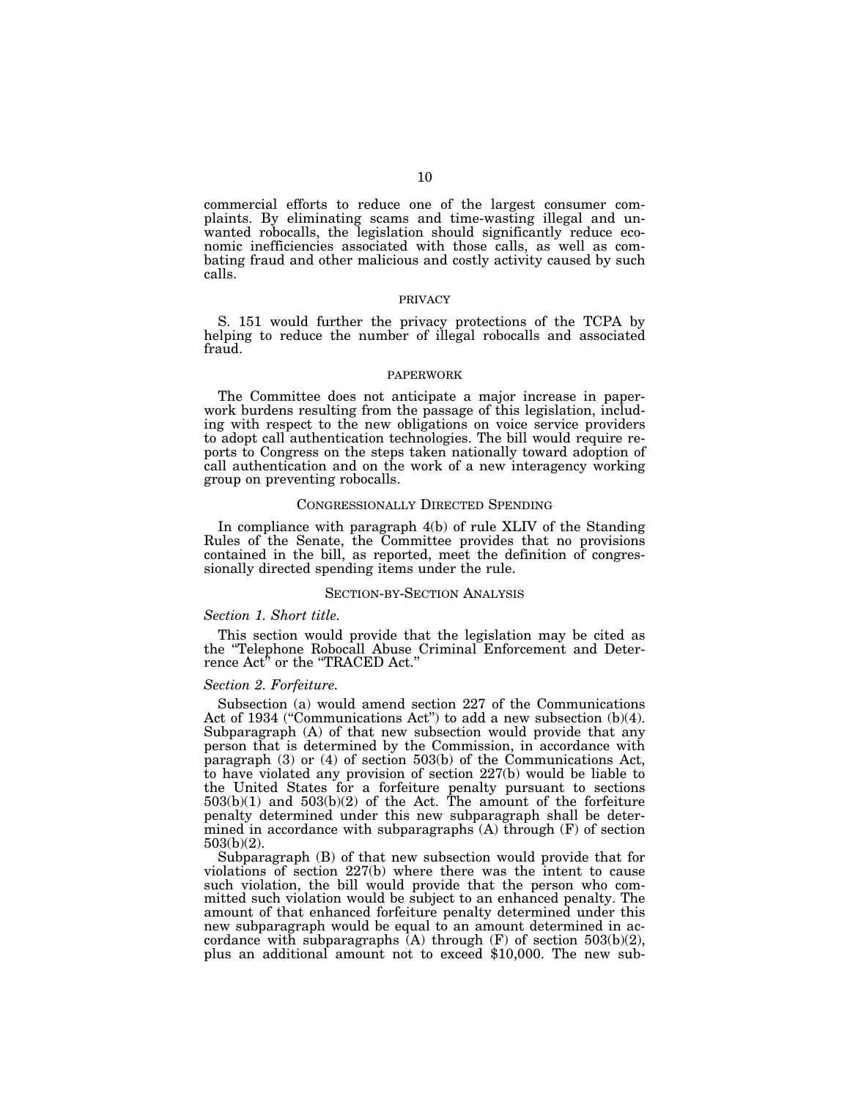commercial efforts to reduce one of the largest consumer complaints. By eliminating scams and time-wasting illegal and unwanted robocalls, the legislation should significantly reduce economic inefficiencies associated with those calls, as well as combating fraud and other malicious and costly activity caused by such calls.

#### PRIVACY

S. 151 would further the privacy protections of the TCPA by helping to reduce the number of illegal robocalls and associated fraud.

#### PAPERWORK

The Committee does not anticipate a major increase in paperwork burdens resulting from the passage of this legislation, including with respect to the new obligations on voice service providers to adopt call authentication technologies. The bill would require reports to Congress on the steps taken nationally toward adoption of call authentication and on the work of a new interagency working group on preventing robocalls.

## CONGRESSIONALLY DIRECTED SPENDING

In compliance with paragraph 4(b) of rule XLIV of the Standing Rules of the Senate, the Committee provides that no provisions contained in the bill, as reported, meet the definition of congressionally directed spending items under the rule.

## SECTION-BY-SECTION ANALYSIS

## *Section 1. Short title.*

This section would provide that the legislation may be cited as the ''Telephone Robocall Abuse Criminal Enforcement and Deterrence Act<sup>5</sup> or the "TRACED Act."

## *Section 2. Forfeiture.*

Subsection (a) would amend section 227 of the Communications Act of 1934 ("Communications Act") to add a new subsection (b)(4). Subparagraph (A) of that new subsection would provide that any person that is determined by the Commission, in accordance with paragraph (3) or (4) of section 503(b) of the Communications Act, to have violated any provision of section 227(b) would be liable to the United States for a forfeiture penalty pursuant to sections  $503(b)(1)$  and  $503(b)(2)$  of the Act. The amount of the forfeiture penalty determined under this new subparagraph shall be determined in accordance with subparagraphs (A) through (F) of section 503(b)(2).

Subparagraph (B) of that new subsection would provide that for violations of section 227(b) where there was the intent to cause such violation, the bill would provide that the person who committed such violation would be subject to an enhanced penalty. The amount of that enhanced forfeiture penalty determined under this new subparagraph would be equal to an amount determined in accordance with subparagraphs (A) through  $(F)$  of section 503(b)(2), plus an additional amount not to exceed \$10,000. The new sub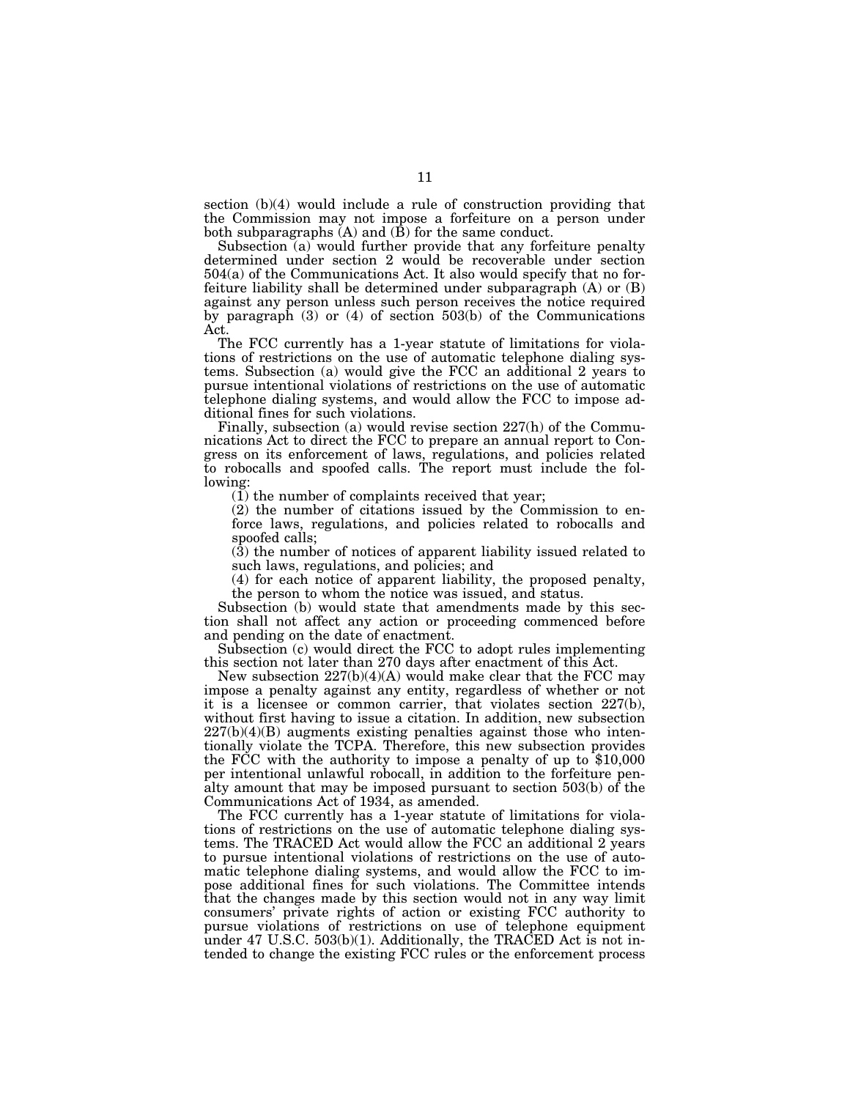section (b)(4) would include a rule of construction providing that the Commission may not impose a forfeiture on a person under both subparagraphs  $(A)$  and  $(\hat{B})$  for the same conduct.

Subsection (a) would further provide that any forfeiture penalty determined under section 2 would be recoverable under section 504(a) of the Communications Act. It also would specify that no forfeiture liability shall be determined under subparagraph (A) or (B) against any person unless such person receives the notice required by paragraph (3) or (4) of section 503(b) of the Communications Act.

The FCC currently has a 1-year statute of limitations for violations of restrictions on the use of automatic telephone dialing systems. Subsection (a) would give the FCC an additional 2 years to pursue intentional violations of restrictions on the use of automatic telephone dialing systems, and would allow the FCC to impose additional fines for such violations.

Finally, subsection (a) would revise section 227(h) of the Communications Act to direct the FCC to prepare an annual report to Congress on its enforcement of laws, regulations, and policies related to robocalls and spoofed calls. The report must include the following:

 $(1)$  the number of complaints received that year;

(2) the number of citations issued by the Commission to enforce laws, regulations, and policies related to robocalls and spoofed calls;

(3) the number of notices of apparent liability issued related to such laws, regulations, and policies; and

(4) for each notice of apparent liability, the proposed penalty, the person to whom the notice was issued, and status.

Subsection (b) would state that amendments made by this section shall not affect any action or proceeding commenced before and pending on the date of enactment.

Subsection (c) would direct the FCC to adopt rules implementing this section not later than 270 days after enactment of this Act.

New subsection  $227(b)(4)(A)$  would make clear that the FCC may impose a penalty against any entity, regardless of whether or not it is a licensee or common carrier, that violates section 227(b), without first having to issue a citation. In addition, new subsection 227(b)(4)(B) augments existing penalties against those who intentionally violate the TCPA. Therefore, this new subsection provides the FCC with the authority to impose a penalty of up to \$10,000 per intentional unlawful robocall, in addition to the forfeiture penalty amount that may be imposed pursuant to section 503(b) of the Communications Act of 1934, as amended.

The FCC currently has a 1-year statute of limitations for violations of restrictions on the use of automatic telephone dialing systems. The TRACED Act would allow the FCC an additional 2 years to pursue intentional violations of restrictions on the use of automatic telephone dialing systems, and would allow the FCC to impose additional fines for such violations. The Committee intends that the changes made by this section would not in any way limit consumers' private rights of action or existing FCC authority to pursue violations of restrictions on use of telephone equipment under 47 U.S.C. 503(b)(1). Additionally, the TRACED Act is not intended to change the existing FCC rules or the enforcement process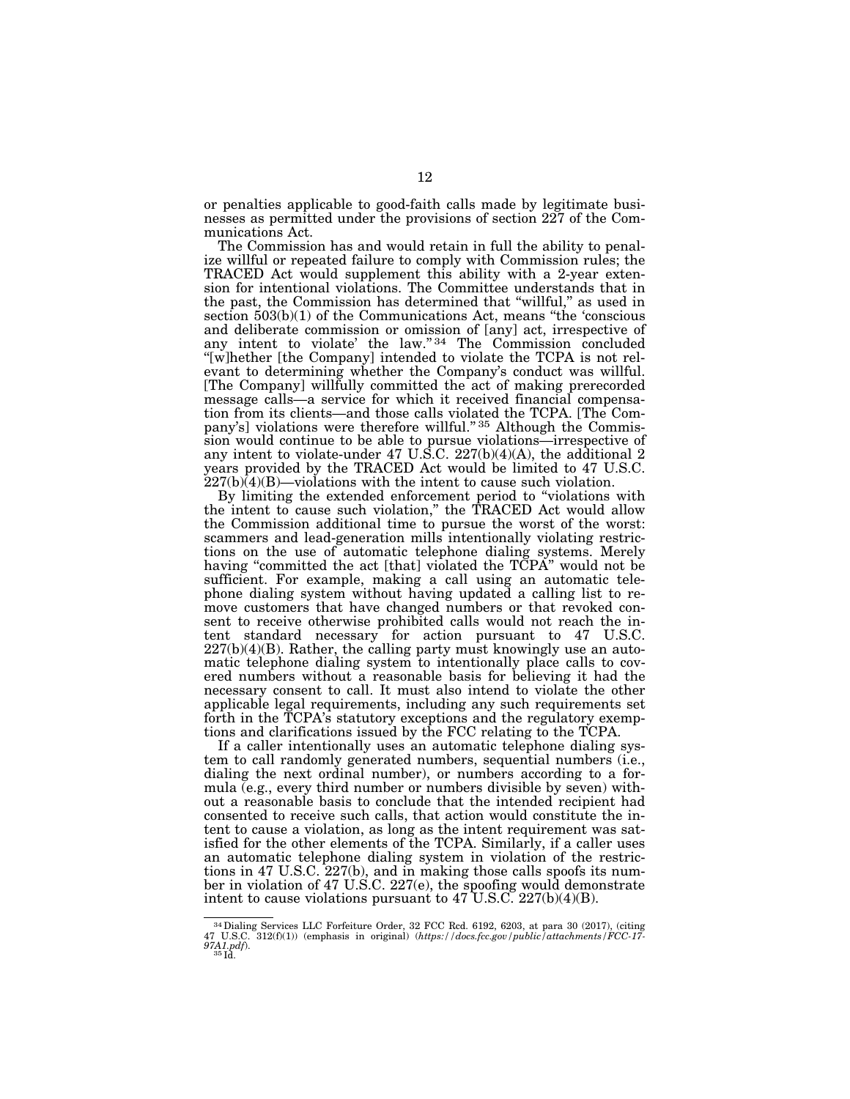or penalties applicable to good-faith calls made by legitimate businesses as permitted under the provisions of section 227 of the Communications Act.

The Commission has and would retain in full the ability to penalize willful or repeated failure to comply with Commission rules; the TRACED Act would supplement this ability with a 2-year extension for intentional violations. The Committee understands that in the past, the Commission has determined that ''willful,'' as used in section 503(b)(1) of the Communications Act, means "the 'conscious and deliberate commission or omission of [any] act, irrespective of any intent to violate' the law."<sup>34</sup> The Commission concluded ''[w]hether [the Company] intended to violate the TCPA is not relevant to determining whether the Company's conduct was willful. [The Company] willfully committed the act of making prerecorded message calls—a service for which it received financial compensation from its clients—and those calls violated the TCPA. [The Company's] violations were therefore willful." 35 Although the Commission would continue to be able to pursue violations—irrespective of any intent to violate-under 47 U.S.C. 227(b)(4)(A), the additional 2 years provided by the TRACED Act would be limited to 47 U.S.C.  $227(b)$  $(d)$  $(B)$ —violations with the intent to cause such violation.

By limiting the extended enforcement period to ''violations with the intent to cause such violation,'' the TRACED Act would allow the Commission additional time to pursue the worst of the worst: scammers and lead-generation mills intentionally violating restrictions on the use of automatic telephone dialing systems. Merely having "committed the act [that] violated the TCPA" would not be sufficient. For example, making a call using an automatic telephone dialing system without having updated a calling list to remove customers that have changed numbers or that revoked consent to receive otherwise prohibited calls would not reach the intent standard necessary for action pursuant to 47 U.S.C.  $227(b)(4)(B)$ . Rather, the calling party must knowingly use an automatic telephone dialing system to intentionally place calls to covered numbers without a reasonable basis for believing it had the necessary consent to call. It must also intend to violate the other applicable legal requirements, including any such requirements set forth in the TCPA's statutory exceptions and the regulatory exemptions and clarifications issued by the FCC relating to the TCPA.

If a caller intentionally uses an automatic telephone dialing system to call randomly generated numbers, sequential numbers (i.e., dialing the next ordinal number), or numbers according to a formula (e.g., every third number or numbers divisible by seven) without a reasonable basis to conclude that the intended recipient had consented to receive such calls, that action would constitute the intent to cause a violation, as long as the intent requirement was satisfied for the other elements of the TCPA. Similarly, if a caller uses an automatic telephone dialing system in violation of the restrictions in 47 U.S.C. 227(b), and in making those calls spoofs its number in violation of 47 U.S.C. 227(e), the spoofing would demonstrate intent to cause violations pursuant to 47 U.S.C. 227(b)(4)(B).

<sup>34</sup>Dialing Services LLC Forfeiture Order, 32 FCC Rcd. 6192, 6203, at para 30 (2017), (citing 47 U.S.C. 312(f)(1)) (emphasis in original) (*https://docs.fcc.gov/public/attachments/FCC-17- 97A1.pdf*). 35 Id.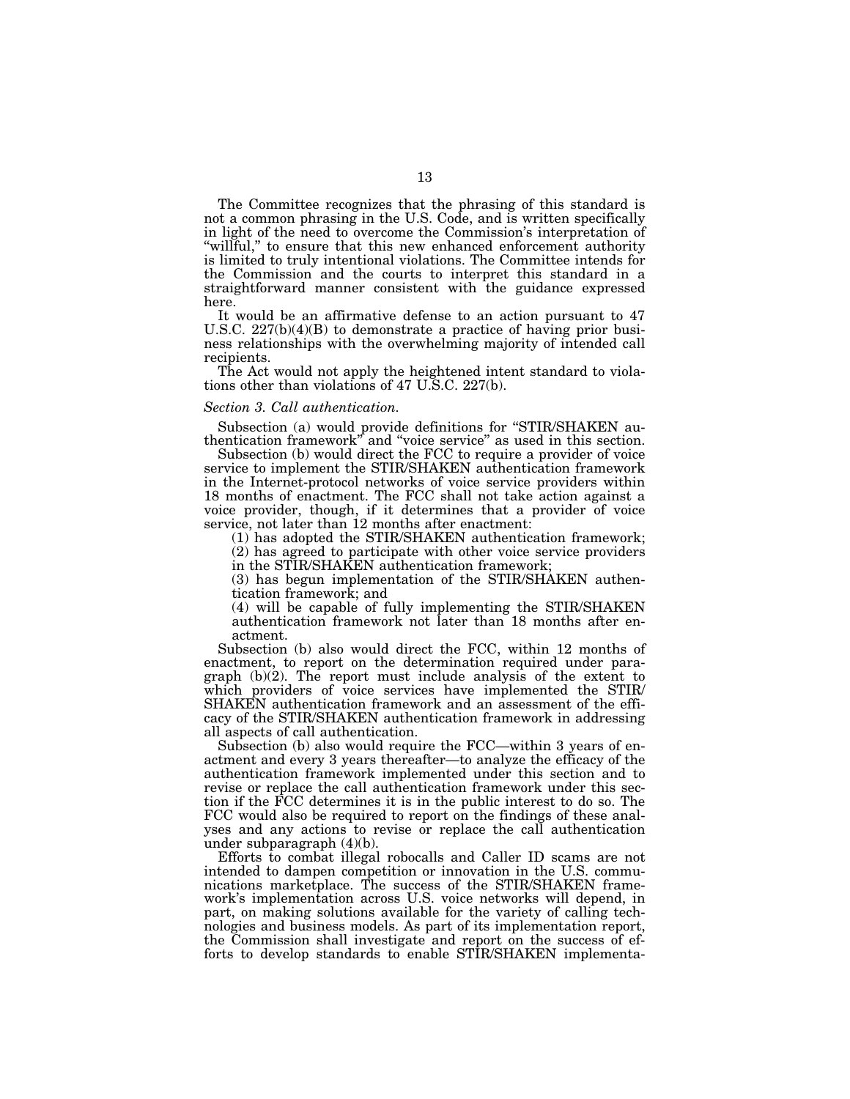The Committee recognizes that the phrasing of this standard is not a common phrasing in the U.S. Code, and is written specifically in light of the need to overcome the Commission's interpretation of "willful," to ensure that this new enhanced enforcement authority is limited to truly intentional violations. The Committee intends for the Commission and the courts to interpret this standard in a straightforward manner consistent with the guidance expressed here.

It would be an affirmative defense to an action pursuant to 47 U.S.C.  $227(b)(4)(B)$  to demonstrate a practice of having prior business relationships with the overwhelming majority of intended call recipients.

The Act would not apply the heightened intent standard to violations other than violations of 47 U.S.C. 227(b).

#### *Section 3. Call authentication.*

Subsection (a) would provide definitions for ''STIR/SHAKEN authentication framework'' and ''voice service'' as used in this section.

Subsection (b) would direct the FCC to require a provider of voice service to implement the STIR/SHAKEN authentication framework in the Internet-protocol networks of voice service providers within 18 months of enactment. The FCC shall not take action against a voice provider, though, if it determines that a provider of voice service, not later than 12 months after enactment:

(1) has adopted the STIR/SHAKEN authentication framework; (2) has agreed to participate with other voice service providers in the STIR/SHAKEN authentication framework;

(3) has begun implementation of the STIR/SHAKEN authentication framework; and

(4) will be capable of fully implementing the STIR/SHAKEN authentication framework not later than 18 months after enactment.

Subsection (b) also would direct the FCC, within 12 months of enactment, to report on the determination required under paragraph (b)(2). The report must include analysis of the extent to which providers of voice services have implemented the STIR/ SHAKEN authentication framework and an assessment of the efficacy of the STIR/SHAKEN authentication framework in addressing all aspects of call authentication.

Subsection (b) also would require the FCC—within 3 years of enactment and every 3 years thereafter—to analyze the efficacy of the authentication framework implemented under this section and to revise or replace the call authentication framework under this section if the FCC determines it is in the public interest to do so. The FCC would also be required to report on the findings of these analyses and any actions to revise or replace the call authentication under subparagraph (4)(b).

Efforts to combat illegal robocalls and Caller ID scams are not intended to dampen competition or innovation in the U.S. communications marketplace. The success of the STIR/SHAKEN framework's implementation across U.S. voice networks will depend, in part, on making solutions available for the variety of calling technologies and business models. As part of its implementation report, the Commission shall investigate and report on the success of efforts to develop standards to enable STIR/SHAKEN implementa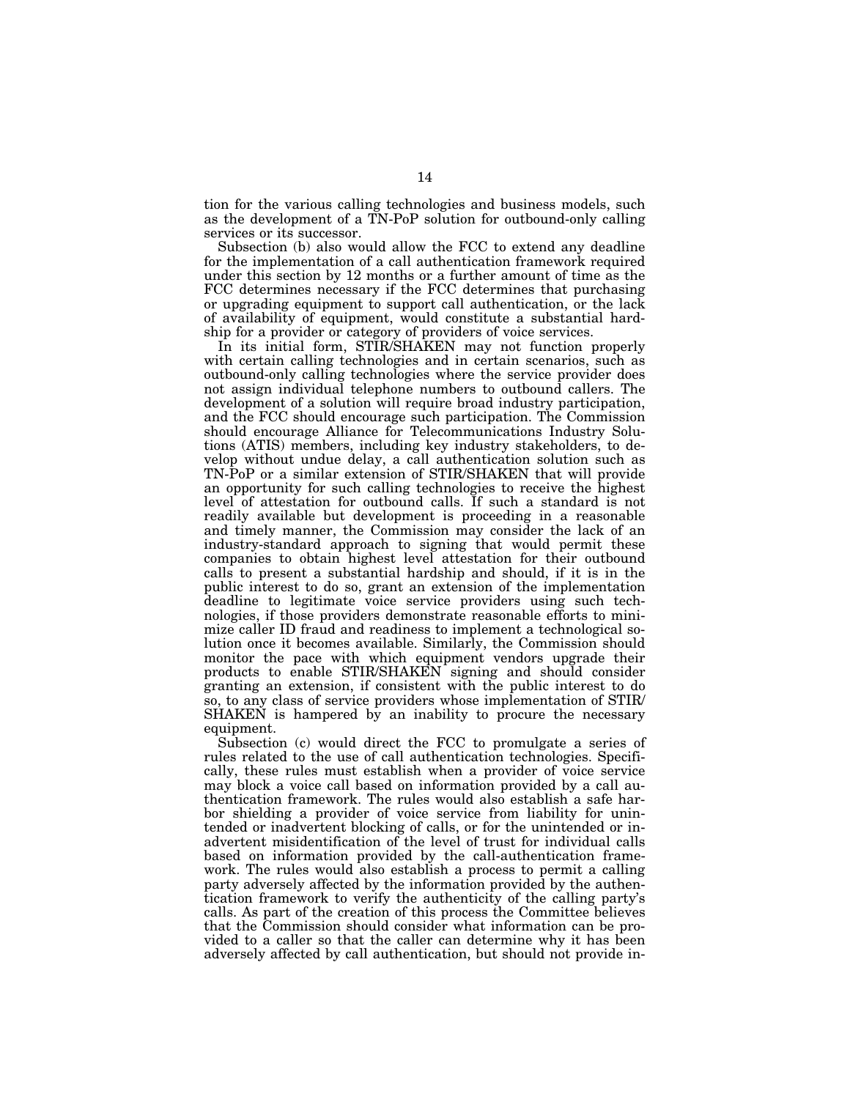tion for the various calling technologies and business models, such as the development of a TN-PoP solution for outbound-only calling services or its successor.

Subsection (b) also would allow the FCC to extend any deadline for the implementation of a call authentication framework required under this section by 12 months or a further amount of time as the FCC determines necessary if the FCC determines that purchasing or upgrading equipment to support call authentication, or the lack of availability of equipment, would constitute a substantial hardship for a provider or category of providers of voice services.

In its initial form, STIR/SHAKEN may not function properly with certain calling technologies and in certain scenarios, such as outbound-only calling technologies where the service provider does not assign individual telephone numbers to outbound callers. The development of a solution will require broad industry participation, and the FCC should encourage such participation. The Commission should encourage Alliance for Telecommunications Industry Solutions (ATIS) members, including key industry stakeholders, to develop without undue delay, a call authentication solution such as TN-PoP or a similar extension of STIR/SHAKEN that will provide an opportunity for such calling technologies to receive the highest level of attestation for outbound calls. If such a standard is not readily available but development is proceeding in a reasonable and timely manner, the Commission may consider the lack of an industry-standard approach to signing that would permit these companies to obtain highest level attestation for their outbound calls to present a substantial hardship and should, if it is in the public interest to do so, grant an extension of the implementation deadline to legitimate voice service providers using such technologies, if those providers demonstrate reasonable efforts to minimize caller ID fraud and readiness to implement a technological solution once it becomes available. Similarly, the Commission should monitor the pace with which equipment vendors upgrade their products to enable STIR/SHAKEN signing and should consider granting an extension, if consistent with the public interest to do so, to any class of service providers whose implementation of STIR/ SHAKEN is hampered by an inability to procure the necessary equipment.

Subsection (c) would direct the FCC to promulgate a series of rules related to the use of call authentication technologies. Specifically, these rules must establish when a provider of voice service may block a voice call based on information provided by a call authentication framework. The rules would also establish a safe harbor shielding a provider of voice service from liability for unintended or inadvertent blocking of calls, or for the unintended or inadvertent misidentification of the level of trust for individual calls based on information provided by the call-authentication framework. The rules would also establish a process to permit a calling party adversely affected by the information provided by the authentication framework to verify the authenticity of the calling party's calls. As part of the creation of this process the Committee believes that the Commission should consider what information can be provided to a caller so that the caller can determine why it has been adversely affected by call authentication, but should not provide in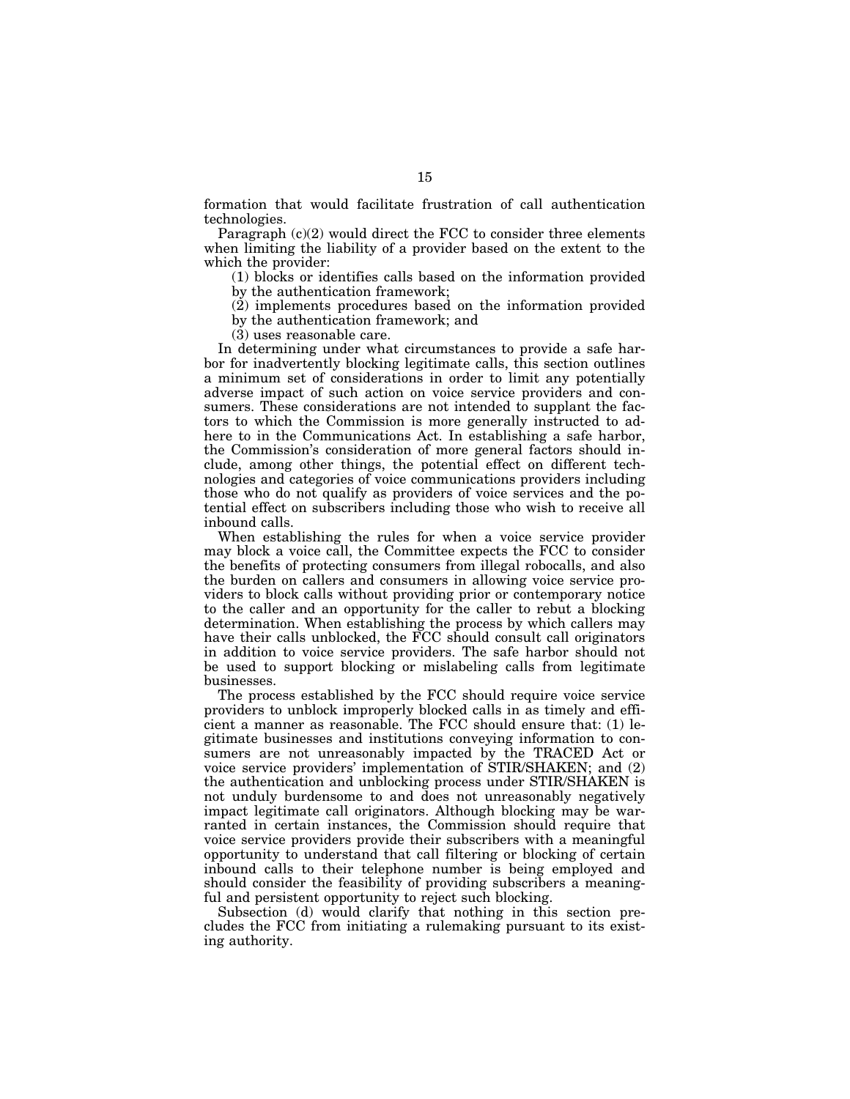formation that would facilitate frustration of call authentication technologies.

Paragraph  $(c)(2)$  would direct the FCC to consider three elements when limiting the liability of a provider based on the extent to the which the provider:

(1) blocks or identifies calls based on the information provided by the authentication framework;

(2) implements procedures based on the information provided by the authentication framework; and

(3) uses reasonable care.

In determining under what circumstances to provide a safe harbor for inadvertently blocking legitimate calls, this section outlines a minimum set of considerations in order to limit any potentially adverse impact of such action on voice service providers and consumers. These considerations are not intended to supplant the factors to which the Commission is more generally instructed to adhere to in the Communications Act. In establishing a safe harbor, the Commission's consideration of more general factors should include, among other things, the potential effect on different technologies and categories of voice communications providers including those who do not qualify as providers of voice services and the potential effect on subscribers including those who wish to receive all inbound calls.

When establishing the rules for when a voice service provider may block a voice call, the Committee expects the FCC to consider the benefits of protecting consumers from illegal robocalls, and also the burden on callers and consumers in allowing voice service providers to block calls without providing prior or contemporary notice to the caller and an opportunity for the caller to rebut a blocking determination. When establishing the process by which callers may have their calls unblocked, the FCC should consult call originators in addition to voice service providers. The safe harbor should not be used to support blocking or mislabeling calls from legitimate businesses.

The process established by the FCC should require voice service providers to unblock improperly blocked calls in as timely and efficient a manner as reasonable. The FCC should ensure that: (1) legitimate businesses and institutions conveying information to consumers are not unreasonably impacted by the TRACED Act or voice service providers' implementation of STIR/SHAKEN; and (2) the authentication and unblocking process under STIR/SHAKEN is not unduly burdensome to and does not unreasonably negatively impact legitimate call originators. Although blocking may be warranted in certain instances, the Commission should require that voice service providers provide their subscribers with a meaningful opportunity to understand that call filtering or blocking of certain inbound calls to their telephone number is being employed and should consider the feasibility of providing subscribers a meaningful and persistent opportunity to reject such blocking.

Subsection (d) would clarify that nothing in this section precludes the FCC from initiating a rulemaking pursuant to its existing authority.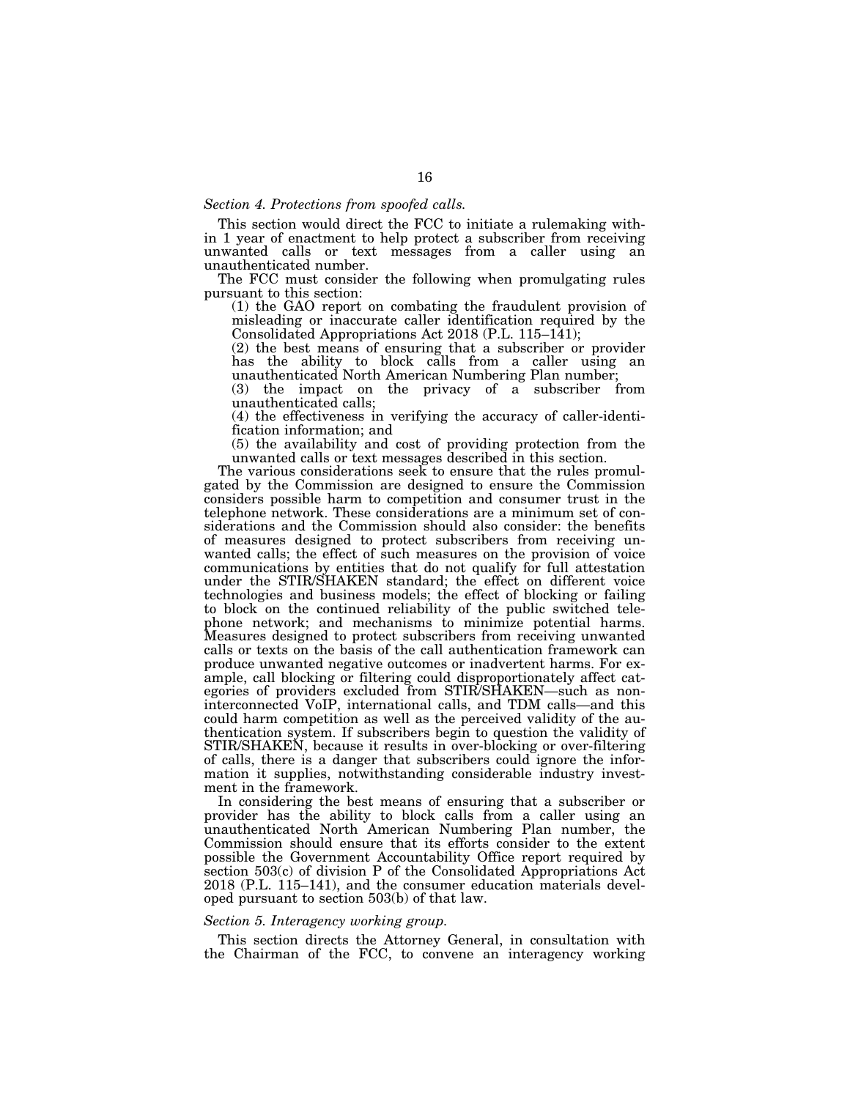## *Section 4. Protections from spoofed calls.*

This section would direct the FCC to initiate a rulemaking within 1 year of enactment to help protect a subscriber from receiving unwanted calls or text messages from a caller using an unauthenticated number.

The FCC must consider the following when promulgating rules pursuant to this section:

(1) the GAO report on combating the fraudulent provision of misleading or inaccurate caller identification required by the Consolidated Appropriations Act 2018 (P.L. 115–141);

(2) the best means of ensuring that a subscriber or provider has the ability to block calls from a caller using an unauthenticated North American Numbering Plan number;

(3) the impact on the privacy of a subscriber from unauthenticated calls;

(4) the effectiveness in verifying the accuracy of caller-identification information; and

(5) the availability and cost of providing protection from the unwanted calls or text messages described in this section.

The various considerations seek to ensure that the rules promulgated by the Commission are designed to ensure the Commission considers possible harm to competition and consumer trust in the telephone network. These considerations are a minimum set of considerations and the Commission should also consider: the benefits of measures designed to protect subscribers from receiving unwanted calls; the effect of such measures on the provision of voice communications by entities that do not qualify for full attestation under the STIR/SHAKEN standard; the effect on different voice technologies and business models; the effect of blocking or failing to block on the continued reliability of the public switched telephone network; and mechanisms to minimize potential harms. Measures designed to protect subscribers from receiving unwanted calls or texts on the basis of the call authentication framework can produce unwanted negative outcomes or inadvertent harms. For example, call blocking or filtering could disproportionately affect categories of providers excluded from STIR/SHAKEN—such as noninterconnected VoIP, international calls, and TDM calls—and this could harm competition as well as the perceived validity of the authentication system. If subscribers begin to question the validity of STIR/SHAKEN, because it results in over-blocking or over-filtering of calls, there is a danger that subscribers could ignore the information it supplies, notwithstanding considerable industry investment in the framework.

In considering the best means of ensuring that a subscriber or provider has the ability to block calls from a caller using an unauthenticated North American Numbering Plan number, the Commission should ensure that its efforts consider to the extent possible the Government Accountability Office report required by section 503(c) of division P of the Consolidated Appropriations Act 2018 (P.L. 115–141), and the consumer education materials developed pursuant to section 503(b) of that law.

#### *Section 5. Interagency working group.*

This section directs the Attorney General, in consultation with the Chairman of the FCC, to convene an interagency working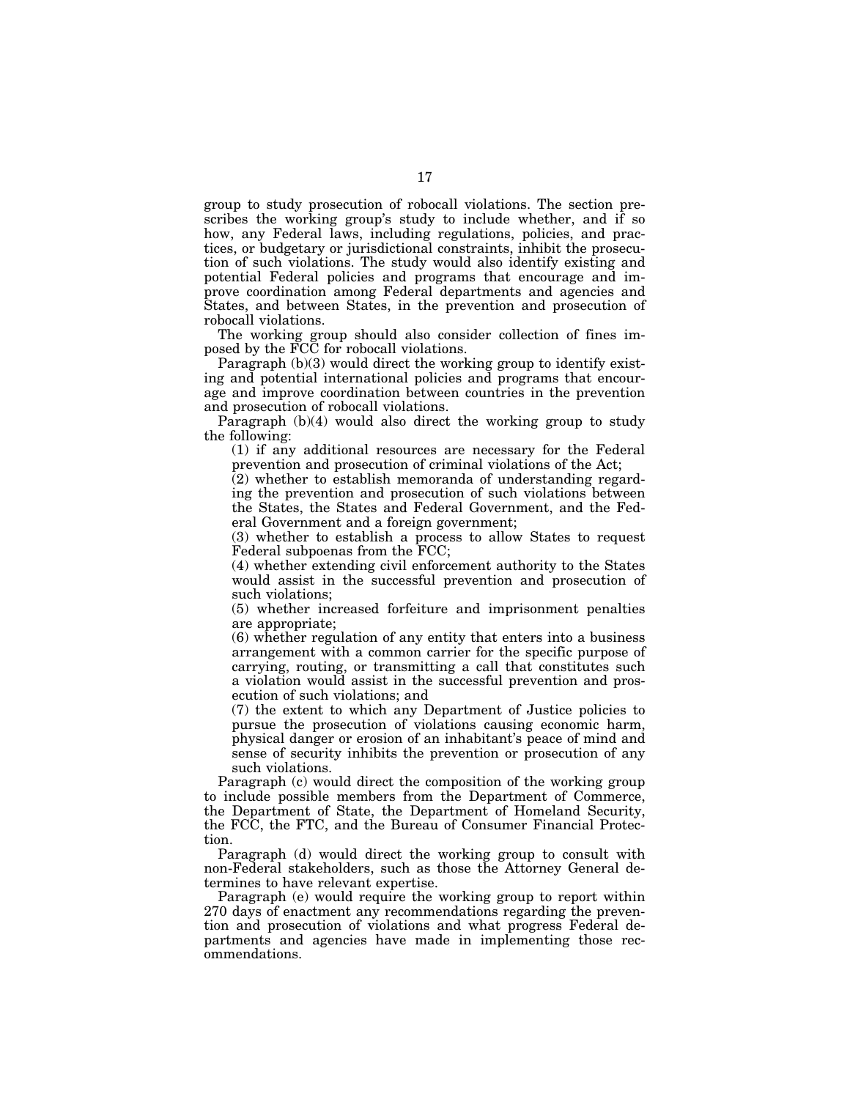group to study prosecution of robocall violations. The section prescribes the working group's study to include whether, and if so how, any Federal laws, including regulations, policies, and practices, or budgetary or jurisdictional constraints, inhibit the prosecution of such violations. The study would also identify existing and potential Federal policies and programs that encourage and improve coordination among Federal departments and agencies and States, and between States, in the prevention and prosecution of robocall violations.

The working group should also consider collection of fines imposed by the FCC for robocall violations.

Paragraph (b)(3) would direct the working group to identify existing and potential international policies and programs that encourage and improve coordination between countries in the prevention and prosecution of robocall violations.

Paragraph (b)(4) would also direct the working group to study the following:

(1) if any additional resources are necessary for the Federal prevention and prosecution of criminal violations of the Act;

(2) whether to establish memoranda of understanding regarding the prevention and prosecution of such violations between the States, the States and Federal Government, and the Federal Government and a foreign government;

(3) whether to establish a process to allow States to request Federal subpoenas from the FCC;

(4) whether extending civil enforcement authority to the States would assist in the successful prevention and prosecution of such violations;

(5) whether increased forfeiture and imprisonment penalties are appropriate;

(6) whether regulation of any entity that enters into a business arrangement with a common carrier for the specific purpose of carrying, routing, or transmitting a call that constitutes such a violation would assist in the successful prevention and prosecution of such violations; and

(7) the extent to which any Department of Justice policies to pursue the prosecution of violations causing economic harm, physical danger or erosion of an inhabitant's peace of mind and sense of security inhibits the prevention or prosecution of any such violations.

Paragraph (c) would direct the composition of the working group to include possible members from the Department of Commerce, the Department of State, the Department of Homeland Security, the FCC, the FTC, and the Bureau of Consumer Financial Protection.

Paragraph (d) would direct the working group to consult with non-Federal stakeholders, such as those the Attorney General determines to have relevant expertise.

Paragraph (e) would require the working group to report within 270 days of enactment any recommendations regarding the prevention and prosecution of violations and what progress Federal departments and agencies have made in implementing those recommendations.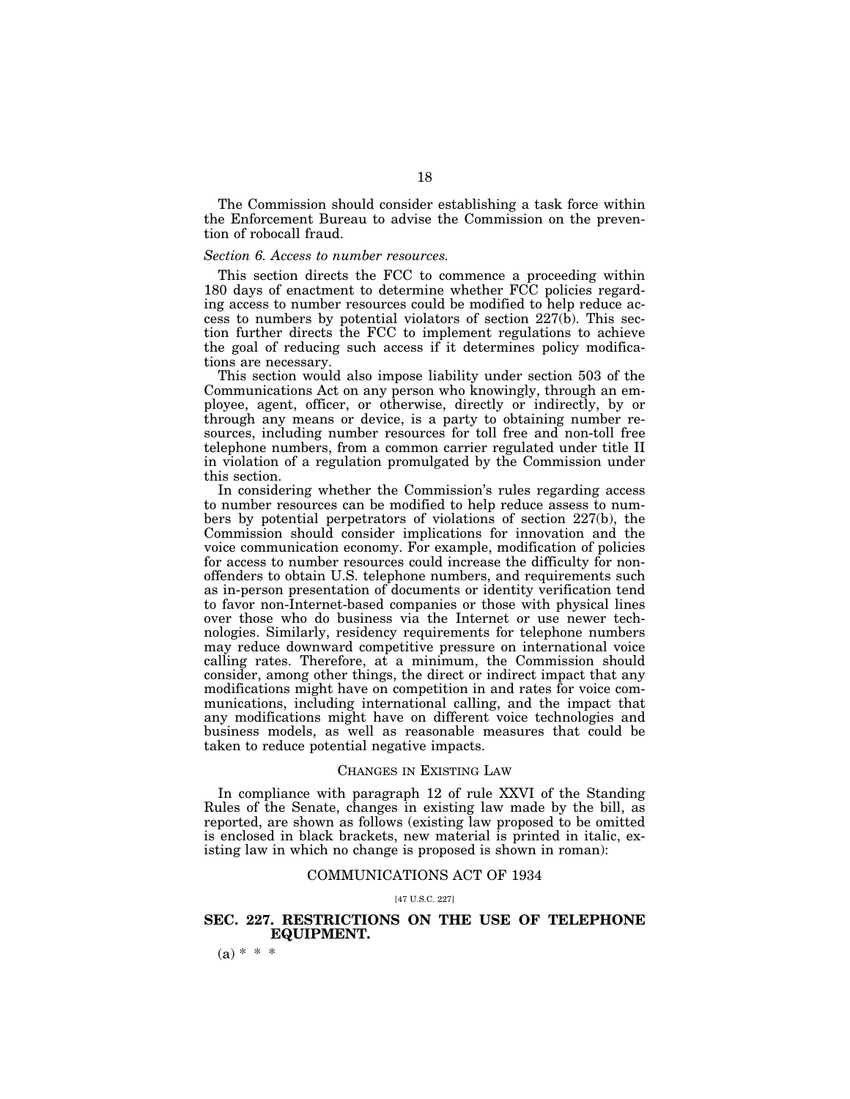The Commission should consider establishing a task force within the Enforcement Bureau to advise the Commission on the prevention of robocall fraud.

## *Section 6. Access to number resources.*

This section directs the FCC to commence a proceeding within 180 days of enactment to determine whether FCC policies regarding access to number resources could be modified to help reduce access to numbers by potential violators of section  $227(b)$ . This section further directs the FCC to implement regulations to achieve the goal of reducing such access if it determines policy modifications are necessary.

This section would also impose liability under section 503 of the Communications Act on any person who knowingly, through an employee, agent, officer, or otherwise, directly or indirectly, by or through any means or device, is a party to obtaining number resources, including number resources for toll free and non-toll free telephone numbers, from a common carrier regulated under title II in violation of a regulation promulgated by the Commission under this section.

In considering whether the Commission's rules regarding access to number resources can be modified to help reduce assess to numbers by potential perpetrators of violations of section 227(b), the Commission should consider implications for innovation and the voice communication economy. For example, modification of policies for access to number resources could increase the difficulty for nonoffenders to obtain U.S. telephone numbers, and requirements such as in-person presentation of documents or identity verification tend to favor non-Internet-based companies or those with physical lines over those who do business via the Internet or use newer technologies. Similarly, residency requirements for telephone numbers may reduce downward competitive pressure on international voice calling rates. Therefore, at a minimum, the Commission should consider, among other things, the direct or indirect impact that any modifications might have on competition in and rates for voice communications, including international calling, and the impact that any modifications might have on different voice technologies and business models, as well as reasonable measures that could be taken to reduce potential negative impacts.

## CHANGES IN EXISTING LAW

In compliance with paragraph 12 of rule XXVI of the Standing Rules of the Senate, changes in existing law made by the bill, as reported, are shown as follows (existing law proposed to be omitted is enclosed in black brackets, new material is printed in italic, existing law in which no change is proposed is shown in roman):

### COMMUNICATIONS ACT OF 1934

#### [47 U.S.C. 227]

## **SEC. 227. RESTRICTIONS ON THE USE OF TELEPHONE EQUIPMENT.**

 $(a) * * *$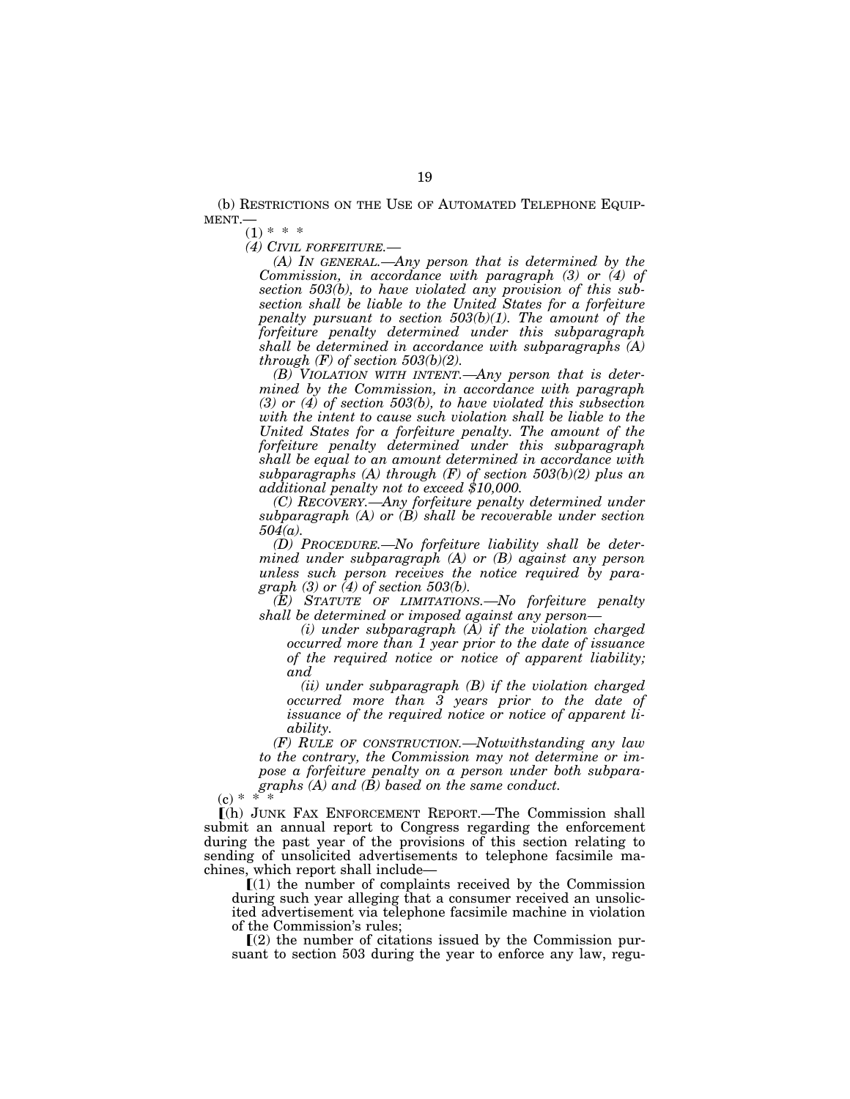(b) RESTRICTIONS ON THE USE OF AUTOMATED TELEPHONE EQUIP-MENT.—

 $(1) * * *$ 

*(4) CIVIL FORFEITURE.—* 

*(A) IN GENERAL.—Any person that is determined by the Commission, in accordance with paragraph (3) or (4) of section 503(b), to have violated any provision of this subsection shall be liable to the United States for a forfeiture penalty pursuant to section 503(b)(1). The amount of the forfeiture penalty determined under this subparagraph shall be determined in accordance with subparagraphs (A) through (F) of section 503(b)(2).* 

*(B) VIOLATION WITH INTENT.—Any person that is determined by the Commission, in accordance with paragraph (3) or (4) of section 503(b), to have violated this subsection with the intent to cause such violation shall be liable to the United States for a forfeiture penalty. The amount of the forfeiture penalty determined under this subparagraph shall be equal to an amount determined in accordance with subparagraphs (A) through (F) of section 503(b)(2) plus an additional penalty not to exceed \$10,000.* 

*(C) RECOVERY.—Any forfeiture penalty determined under subparagraph (A) or (B) shall be recoverable under section 504(a).* 

*(D) PROCEDURE.—No forfeiture liability shall be determined under subparagraph (A) or (B) against any person unless such person receives the notice required by paragraph (3) or (4) of section 503(b).* 

*(E) STATUTE OF LIMITATIONS.—No forfeiture penalty shall be determined or imposed against any person—* 

*(i) under subparagraph (A) if the violation charged occurred more than 1 year prior to the date of issuance of the required notice or notice of apparent liability; and* 

*(ii) under subparagraph (B) if the violation charged occurred more than 3 years prior to the date of issuance of the required notice or notice of apparent liability.* 

*(F) RULE OF CONSTRUCTION.—Notwithstanding any law to the contrary, the Commission may not determine or impose a forfeiture penalty on a person under both subparagraphs (A) and (B) based on the same conduct.* 

 $(c) * * * *$ 

ø(h) JUNK FAX ENFORCEMENT REPORT.—The Commission shall submit an annual report to Congress regarding the enforcement during the past year of the provisions of this section relating to sending of unsolicited advertisements to telephone facsimile machines, which report shall include—

 $(1)$  the number of complaints received by the Commission during such year alleging that a consumer received an unsolicited advertisement via telephone facsimile machine in violation of the Commission's rules;

 $\Gamma(2)$  the number of citations issued by the Commission pursuant to section 503 during the year to enforce any law, regu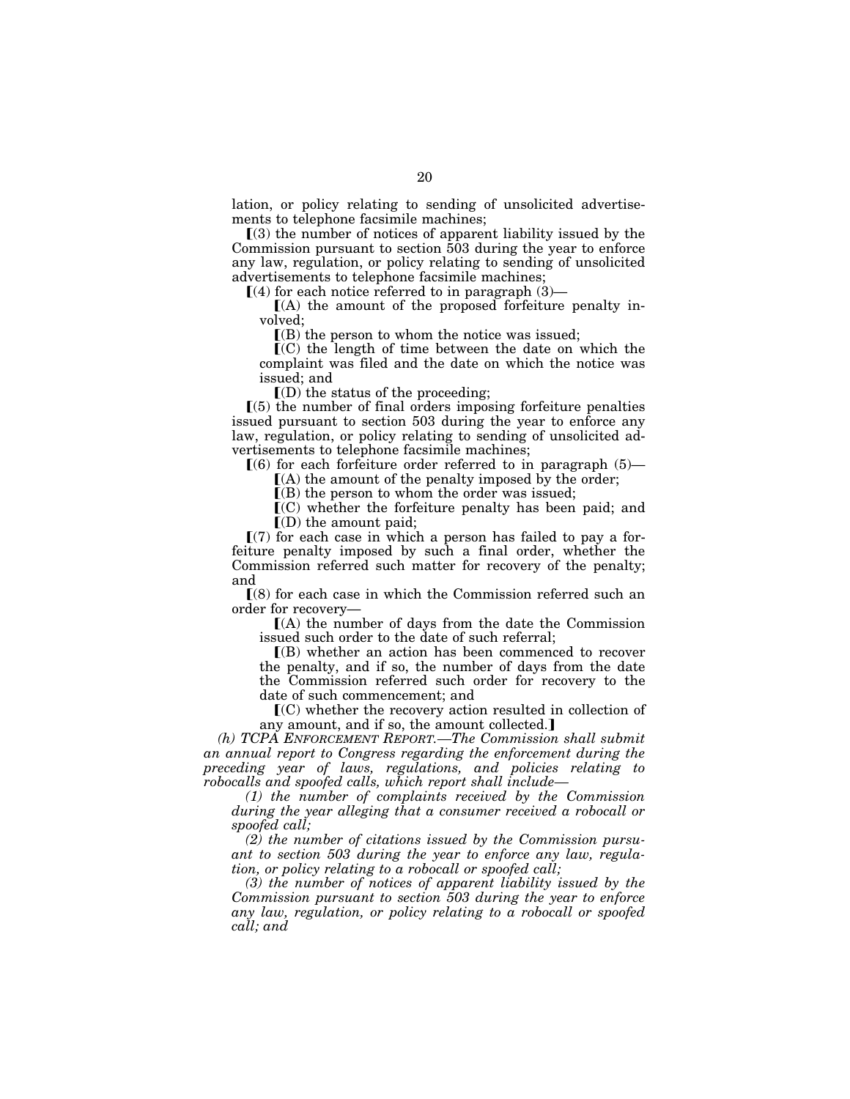lation, or policy relating to sending of unsolicited advertisements to telephone facsimile machines;

 $(3)$  the number of notices of apparent liability issued by the Commission pursuant to section 503 during the year to enforce any law, regulation, or policy relating to sending of unsolicited advertisements to telephone facsimile machines;

 $(4)$  for each notice referred to in paragraph  $(3)$ —

 $(A)$  the amount of the proposed forfeiture penalty involved;

 $(6)$  the person to whom the notice was issued;

 $\mathbf{I}(\mathbf{C})$  the length of time between the date on which the complaint was filed and the date on which the notice was issued; and

 $I(D)$  the status of the proceeding;

 $(5)$  the number of final orders imposing forfeiture penalties issued pursuant to section 503 during the year to enforce any law, regulation, or policy relating to sending of unsolicited advertisements to telephone facsimile machines;

 $(6)$  for each forfeiture order referred to in paragraph  $(5)$ —

 $(A)$  the amount of the penalty imposed by the order;

 $\mathbf{I}(\mathbf{B})$  the person to whom the order was issued;

 $\mathbf{C}(C)$  whether the forfeiture penalty has been paid; and  $\Gamma(D)$  the amount paid;

 $(7)$  for each case in which a person has failed to pay a forfeiture penalty imposed by such a final order, whether the Commission referred such matter for recovery of the penalty; and

 $(8)$  for each case in which the Commission referred such an order for recovery—

 $f(A)$  the number of days from the date the Commission issued such order to the date of such referral;

 $(6)$  whether an action has been commenced to recover the penalty, and if so, the number of days from the date the Commission referred such order for recovery to the date of such commencement; and

 $\mathbf{C}(\mathbf{C})$  whether the recovery action resulted in collection of any amount, and if so, the amount collected.

*(h) TCPA ENFORCEMENT REPORT.—The Commission shall submit an annual report to Congress regarding the enforcement during the preceding year of laws, regulations, and policies relating to robocalls and spoofed calls, which report shall include—* 

*(1) the number of complaints received by the Commission during the year alleging that a consumer received a robocall or spoofed call;* 

*(2) the number of citations issued by the Commission pursuant to section 503 during the year to enforce any law, regulation, or policy relating to a robocall or spoofed call;* 

*(3) the number of notices of apparent liability issued by the Commission pursuant to section 503 during the year to enforce any law, regulation, or policy relating to a robocall or spoofed call; and*